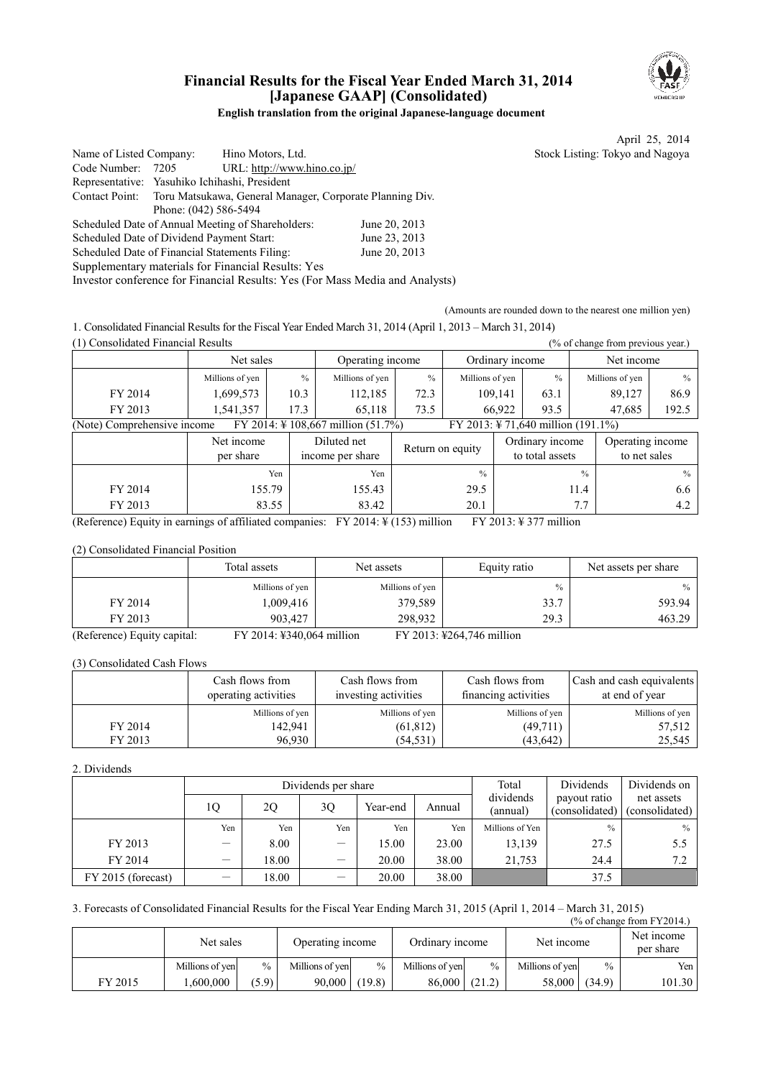

# **Financial Results for the Fiscal Year Ended March 31, 2014 [Japanese GAAP] (Consolidated)**

**English translation from the original Japanese-language document** 

April 25, 2014

|                         |                                                                              |               | Tiplin $2J$ , $2017$            |
|-------------------------|------------------------------------------------------------------------------|---------------|---------------------------------|
| Name of Listed Company: | Hino Motors, Ltd.                                                            |               | Stock Listing: Tokyo and Nagoya |
| Code Number:            | URL: http://www.hino.co.jp/<br>7205                                          |               |                                 |
|                         | Representative: Yasuhiko Ichihashi, President                                |               |                                 |
|                         | Contact Point: Toru Matsukawa, General Manager, Corporate Planning Div.      |               |                                 |
|                         | Phone: (042) 586-5494                                                        |               |                                 |
|                         | Scheduled Date of Annual Meeting of Shareholders:                            | June 20, 2013 |                                 |
|                         | Scheduled Date of Dividend Payment Start:                                    | June 23, 2013 |                                 |
|                         | Scheduled Date of Financial Statements Filing:                               | June 20, 2013 |                                 |
|                         | Supplementary materials for Financial Results: Yes                           |               |                                 |
|                         | Investor conference for Financial Results: Yes (For Mass Media and Analysts) |               |                                 |
|                         |                                                                              |               |                                 |

(Amounts are rounded down to the nearest one million yen)

1. Consolidated Financial Results for the Fiscal Year Ended March 31, 2014 (April 1, 2013 – March 31, 2014) (1) Consolidated Financial Results (% of change from previous year.)

| (1) Consolidated Financial Results                                            |                         |       |                                 |                |                  |         |                                    |               | (% of change from previous year.) |               |
|-------------------------------------------------------------------------------|-------------------------|-------|---------------------------------|----------------|------------------|---------|------------------------------------|---------------|-----------------------------------|---------------|
|                                                                               | Net sales               |       | Operating income                |                | Ordinary income  |         |                                    |               | Net income                        |               |
|                                                                               | Millions of yen         | $\%$  | Millions of yen                 | $\frac{0}{0}$  | Millions of yen  |         | $\%$                               |               | Millions of yen                   | $\frac{0}{0}$ |
| FY 2014                                                                       | 1,699,573               | 10.3  | 112,185                         | 72.3           |                  | 109,141 | 63.1                               |               | 89,127                            | 86.9          |
| FY 2013                                                                       | 1,541,357               | 17.3  | 65,118                          | 73.5<br>66,922 |                  | 93.5    | 47,685                             |               | 192.5                             |               |
| (Note) Comprehensive income<br>FY 2014: $\frac{1}{2}$ 108,667 million (51.7%) |                         |       |                                 |                |                  |         | FY 2013: ¥ 71,640 million (191.1%) |               |                                   |               |
|                                                                               | Net income<br>per share |       | Diluted net<br>income per share |                | Return on equity |         | Ordinary income<br>to total assets |               | Operating income<br>to net sales  |               |
|                                                                               |                         | Yen   | Yen                             |                | $\frac{0}{0}$    |         |                                    | $\frac{0}{0}$ |                                   | $\frac{0}{0}$ |
| FY 2014                                                                       | 155.79                  |       | 155.43                          |                | 29.5             |         |                                    | 11.4          |                                   | 6.6           |
| FY 2013                                                                       |                         | 83.55 | 83.42                           |                | 20.1             |         | 7.7                                |               | 4.2                               |               |

(Reference) Equity in earnings of affiliated companies: FY 2014:  $\frac{1}{2}$  (153) million FY 2013: ¥ 377 million

(2) Consolidated Financial Position

|                             | Total assets              | Net assets      | Equity ratio              | Net assets per share |
|-----------------------------|---------------------------|-----------------|---------------------------|----------------------|
|                             | Millions of yen           | Millions of yen | $\frac{0}{0}$             | $\frac{0}{0}$        |
| FY 2014                     | 1,009,416                 | 379,589         | 33.7                      | 593.94               |
| FY 2013                     | 903.427                   | 298.932         | 29.3                      | 463.29               |
| (Reference) Equity capital: | FY 2014: ¥340,064 million |                 | FY 2013: ¥264,746 million |                      |

| (3) Consolidated Cash Flows |                                         |                                         |                                         |                                             |
|-----------------------------|-----------------------------------------|-----------------------------------------|-----------------------------------------|---------------------------------------------|
|                             | Cash flows from<br>operating activities | Cash flows from<br>investing activities | Cash flows from<br>financing activities | Cash and cash equivalents<br>at end of year |
|                             | Millions of yen                         | Millions of yen                         | Millions of yen                         | Millions of yen                             |
| FY 2014                     | 142,941                                 | (61, 812)                               | (49,711)                                | 57,512                                      |
| FY 2013                     | 96,930                                  | (54, 531)                               | (43, 642)                               | 25,545                                      |

2. Dividends

|                    |                          |       | Dividends per share      |          | Total  | Dividends             | Dividends on                   |                              |
|--------------------|--------------------------|-------|--------------------------|----------|--------|-----------------------|--------------------------------|------------------------------|
|                    | 10                       | 20    | 30                       | Year-end | Annual | dividends<br>(annual) | payout ratio<br>(consolidated) | net assets<br>(consolidated) |
|                    | Yen                      | Yen   | Yen                      | Yen      | Yen    | Millions of Yen       | $\%$                           | $\%$                         |
| FY 2013            | $\overline{\phantom{0}}$ | 8.00  | $\overline{\phantom{0}}$ | 15.00    | 23.00  | 13,139                | 27.5                           | 5.5                          |
| FY 2014            |                          | 18.00 | —                        | 20.00    | 38.00  | 21,753                | 24.4                           | 7.2                          |
| FY 2015 (forecast) | —                        | 18.00 |                          | 20.00    | 38.00  |                       | 37.5                           |                              |

#### 3. Forecasts of Consolidated Financial Results for the Fiscal Year Ending March 31, 2015 (April 1, 2014 – March 31, 2015)  $(% \text{ of change from FY2014})$

|         | Net sales       |       | Operating income |        | Ordinary income |               | Net income      |        | Net income<br>per share |
|---------|-----------------|-------|------------------|--------|-----------------|---------------|-----------------|--------|-------------------------|
|         | Millions of yen | $\%$  | Millions of ven  | $\%$   | Millions of yen | $\frac{0}{0}$ | Millions of yen | $\%$   | Yen l                   |
| FY 2015 | .600.000        | (5.9) | 90.000           | (19.8) | 86,000          | (21.2)        | 58.000          | (34.9) | 101.30                  |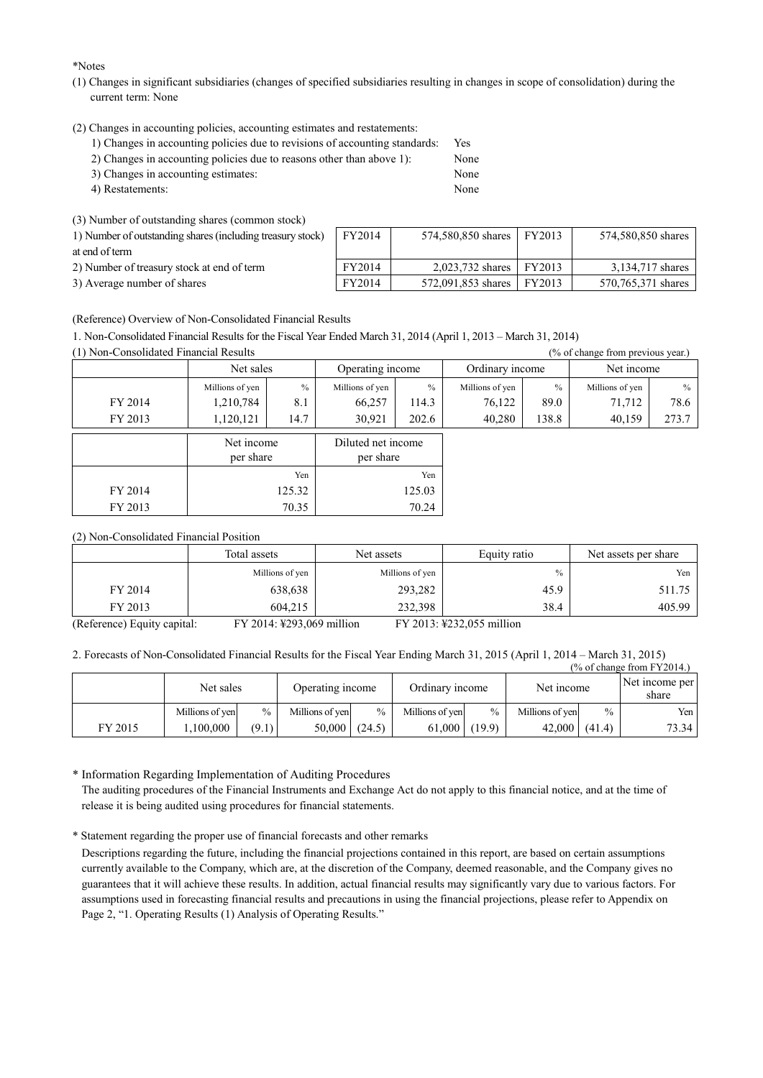\*Notes

- (1) Changes in significant subsidiaries (changes of specified subsidiaries resulting in changes in scope of consolidation) during the current term: None
- (2) Changes in accounting policies, accounting estimates and restatements:
	- 1) Changes in accounting policies due to revisions of accounting standards: Yes
	- 2) Changes in accounting policies due to reasons other than above 1): None
	- 3) Changes in accounting estimates: None 4) Restatements: None
	-

(3) Number of outstanding shares (common stock)

| 1) Number of outstanding shares (including treasury stock) | FY2014 | 574,580,850 shares   FY2013 | 574.580.850 shares |
|------------------------------------------------------------|--------|-----------------------------|--------------------|
| at end of term                                             |        |                             |                    |
| 2) Number of treasury stock at end of term                 | FY2014 | 2.023.732 shares FY2013     | 3,134,717 shares   |
| 3) Average number of shares                                | FY2014 | 572,091,853 shares FY2013   | 570,765,371 shares |

(Reference) Overview of Non-Consolidated Financial Results

1. Non-Consolidated Financial Results for the Fiscal Year Ended March 31, 2014 (April 1, 2013 – March 31, 2014)

(1) Non-Consolidated Financial Results (% of change from previous year.)

|         | Net sales               |               | Operating income                |               | Ordinary income |               | Net income      |       |  |
|---------|-------------------------|---------------|---------------------------------|---------------|-----------------|---------------|-----------------|-------|--|
|         | Millions of yen         | $\frac{0}{0}$ | Millions of yen                 | $\frac{0}{0}$ | Millions of yen | $\frac{0}{0}$ | Millions of yen | $\%$  |  |
| FY 2014 | 1,210,784               | 8.1           | 66,257                          | 114.3         | 76,122          | 89.0          | 71,712          | 78.6  |  |
| FY 2013 | 1,120,121               | 14.7          | 30,921                          | 202.6         | 40,280          | 138.8         | 40,159          | 273.7 |  |
|         | Net income<br>per share |               | Diluted net income<br>per share |               |                 |               |                 |       |  |
|         |                         | Yen           |                                 | Yen           |                 |               |                 |       |  |
| FY 2014 |                         | 125.32        | 125.03                          |               |                 |               |                 |       |  |
| FY 2013 |                         | 70.35         |                                 | 70.24         |                 |               |                 |       |  |

(2) Non-Consolidated Financial Position

|         | Total assets    | Net assets      | Equity ratio | Net assets per share |
|---------|-----------------|-----------------|--------------|----------------------|
|         | Millions of yen | Millions of yen | $\%$         | Yen                  |
| FY 2014 | 638,638         | 293,282         | 45.9         | 511.75               |
| FY 2013 | 604,215         | 232,398         | 38.4         | 405.99               |

(Reference) Equity capital: FY 2014: ¥293,069 million FY 2013: ¥232,055 million

2. Forecasts of Non-Consolidated Financial Results for the Fiscal Year Ending March 31, 2015 (April 1, 2014 – March 31, 2015)

|         |                 |               |                  |        |                 |               |                 |               | $\frac{9}{6}$ of change from FY2014.) |
|---------|-----------------|---------------|------------------|--------|-----------------|---------------|-----------------|---------------|---------------------------------------|
|         | Net sales       |               | Operating income |        | Ordinary income |               | Net income      |               | Net income per<br>share               |
|         | Millions of yen | $\frac{0}{0}$ | Millions of yen  | $\%$   | Millions of ven | $\frac{0}{0}$ | Millions of yen | $\frac{0}{0}$ | Yen                                   |
| FY 2015 | .100,000        | (9.1)         | 50,000           | (24.5) | 61.000          | (19.9)        | 42,000          | (41.4)        | 73.34                                 |

\* Information Regarding Implementation of Auditing Procedures The auditing procedures of the Financial Instruments and Exchange Act do not apply to this financial notice, and at the time of release it is being audited using procedures for financial statements.

\* Statement regarding the proper use of financial forecasts and other remarks

Descriptions regarding the future, including the financial projections contained in this report, are based on certain assumptions currently available to the Company, which are, at the discretion of the Company, deemed reasonable, and the Company gives no guarantees that it will achieve these results. In addition, actual financial results may significantly vary due to various factors. For assumptions used in forecasting financial results and precautions in using the financial projections, please refer to Appendix on Page 2, "1. Operating Results (1) Analysis of Operating Results."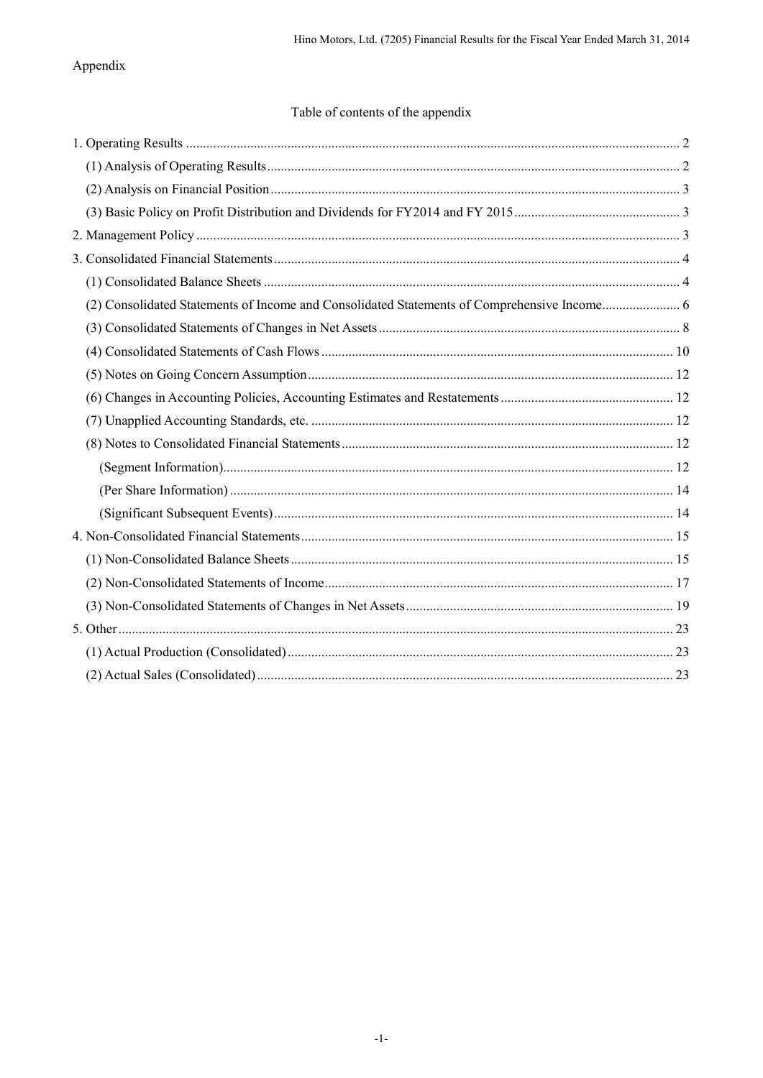# Appendix

# Table of contents of the appendix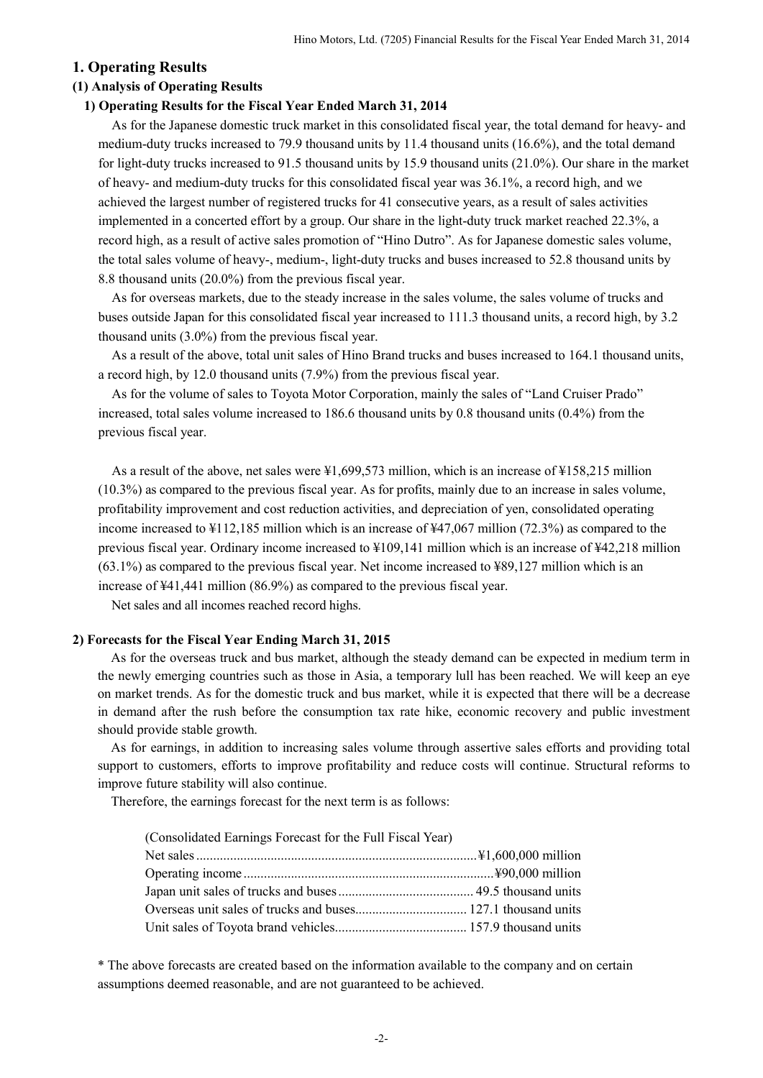## **1. Operating Results**

### **(1) Analysis of Operating Results**

#### **1) Operating Results for the Fiscal Year Ended March 31, 2014**

As for the Japanese domestic truck market in this consolidated fiscal year, the total demand for heavy- and medium-duty trucks increased to 79.9 thousand units by 11.4 thousand units (16.6%), and the total demand for light-duty trucks increased to 91.5 thousand units by 15.9 thousand units (21.0%). Our share in the market of heavy- and medium-duty trucks for this consolidated fiscal year was 36.1%, a record high, and we achieved the largest number of registered trucks for 41 consecutive years, as a result of sales activities implemented in a concerted effort by a group. Our share in the light-duty truck market reached 22.3%, a record high, as a result of active sales promotion of "Hino Dutro". As for Japanese domestic sales volume, the total sales volume of heavy-, medium-, light-duty trucks and buses increased to 52.8 thousand units by 8.8 thousand units (20.0%) from the previous fiscal year.

As for overseas markets, due to the steady increase in the sales volume, the sales volume of trucks and buses outside Japan for this consolidated fiscal year increased to 111.3 thousand units, a record high, by 3.2 thousand units (3.0%) from the previous fiscal year.

As a result of the above, total unit sales of Hino Brand trucks and buses increased to 164.1 thousand units, a record high, by 12.0 thousand units (7.9%) from the previous fiscal year.

As for the volume of sales to Toyota Motor Corporation, mainly the sales of "Land Cruiser Prado" increased, total sales volume increased to 186.6 thousand units by 0.8 thousand units (0.4%) from the previous fiscal year.

As a result of the above, net sales were ¥1,699,573 million, which is an increase of ¥158,215 million (10.3%) as compared to the previous fiscal year. As for profits, mainly due to an increase in sales volume, profitability improvement and cost reduction activities, and depreciation of yen, consolidated operating income increased to ¥112,185 million which is an increase of ¥47,067 million (72.3%) as compared to the previous fiscal year. Ordinary income increased to ¥109,141 million which is an increase of ¥42,218 million (63.1%) as compared to the previous fiscal year. Net income increased to ¥89,127 million which is an increase of ¥41,441 million (86.9%) as compared to the previous fiscal year.

Net sales and all incomes reached record highs.

#### **2) Forecasts for the Fiscal Year Ending March 31, 2015**

As for the overseas truck and bus market, although the steady demand can be expected in medium term in the newly emerging countries such as those in Asia, a temporary lull has been reached. We will keep an eye on market trends. As for the domestic truck and bus market, while it is expected that there will be a decrease in demand after the rush before the consumption tax rate hike, economic recovery and public investment should provide stable growth.

As for earnings, in addition to increasing sales volume through assertive sales efforts and providing total support to customers, efforts to improve profitability and reduce costs will continue. Structural reforms to improve future stability will also continue.

Therefore, the earnings forecast for the next term is as follows:

| (Consolidated Earnings Forecast for the Full Fiscal Year) |  |
|-----------------------------------------------------------|--|
|                                                           |  |
|                                                           |  |
|                                                           |  |
|                                                           |  |
|                                                           |  |

\* The above forecasts are created based on the information available to the company and on certain assumptions deemed reasonable, and are not guaranteed to be achieved.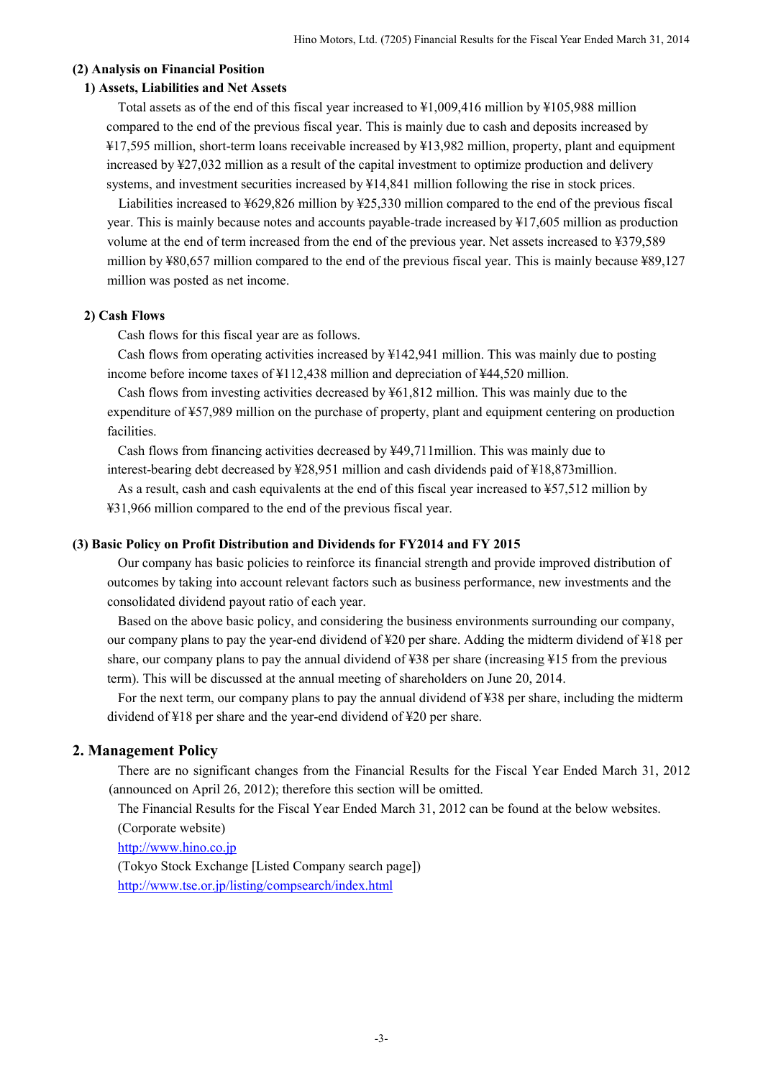### **(2) Analysis on Financial Position**

### **1) Assets, Liabilities and Net Assets**

Total assets as of the end of this fiscal year increased to ¥1,009,416 million by ¥105,988 million compared to the end of the previous fiscal year. This is mainly due to cash and deposits increased by ¥17,595 million, short-term loans receivable increased by ¥13,982 million, property, plant and equipment increased by ¥27,032 million as a result of the capital investment to optimize production and delivery systems, and investment securities increased by  $\frac{14,841}{10}$  million following the rise in stock prices.

Liabilities increased to ¥629,826 million by ¥25,330 million compared to the end of the previous fiscal year. This is mainly because notes and accounts payable-trade increased by ¥17,605 million as production volume at the end of term increased from the end of the previous year. Net assets increased to ¥379,589 million by ¥80,657 million compared to the end of the previous fiscal year. This is mainly because ¥89,127 million was posted as net income.

### **2) Cash Flows**

Cash flows for this fiscal year are as follows.

Cash flows from operating activities increased by ¥142,941 million. This was mainly due to posting income before income taxes of ¥112,438 million and depreciation of ¥44,520 million.

Cash flows from investing activities decreased by ¥61,812 million. This was mainly due to the expenditure of ¥57,989 million on the purchase of property, plant and equipment centering on production facilities.

Cash flows from financing activities decreased by ¥49,711million. This was mainly due to interest-bearing debt decreased by ¥28,951 million and cash dividends paid of ¥18,873million.

As a result, cash and cash equivalents at the end of this fiscal year increased to ¥57,512 million by

¥31,966 million compared to the end of the previous fiscal year.

### **(3) Basic Policy on Profit Distribution and Dividends for FY2014 and FY 2015**

Our company has basic policies to reinforce its financial strength and provide improved distribution of outcomes by taking into account relevant factors such as business performance, new investments and the consolidated dividend payout ratio of each year.

Based on the above basic policy, and considering the business environments surrounding our company, our company plans to pay the year-end dividend of ¥20 per share. Adding the midterm dividend of ¥18 per share, our company plans to pay the annual dividend of ¥38 per share (increasing ¥15 from the previous term). This will be discussed at the annual meeting of shareholders on June 20, 2014.

For the next term, our company plans to pay the annual dividend of ¥38 per share, including the midterm dividend of ¥18 per share and the year-end dividend of ¥20 per share.

## **2. Management Policy**

There are no significant changes from the Financial Results for the Fiscal Year Ended March 31, 2012 (announced on April 26, 2012); therefore this section will be omitted.

The Financial Results for the Fiscal Year Ended March 31, 2012 can be found at the below websites. (Corporate website)

http://www.hino.co.jp

(Tokyo Stock Exchange [Listed Company search page]) http://www.tse.or.jp/listing/compsearch/index.html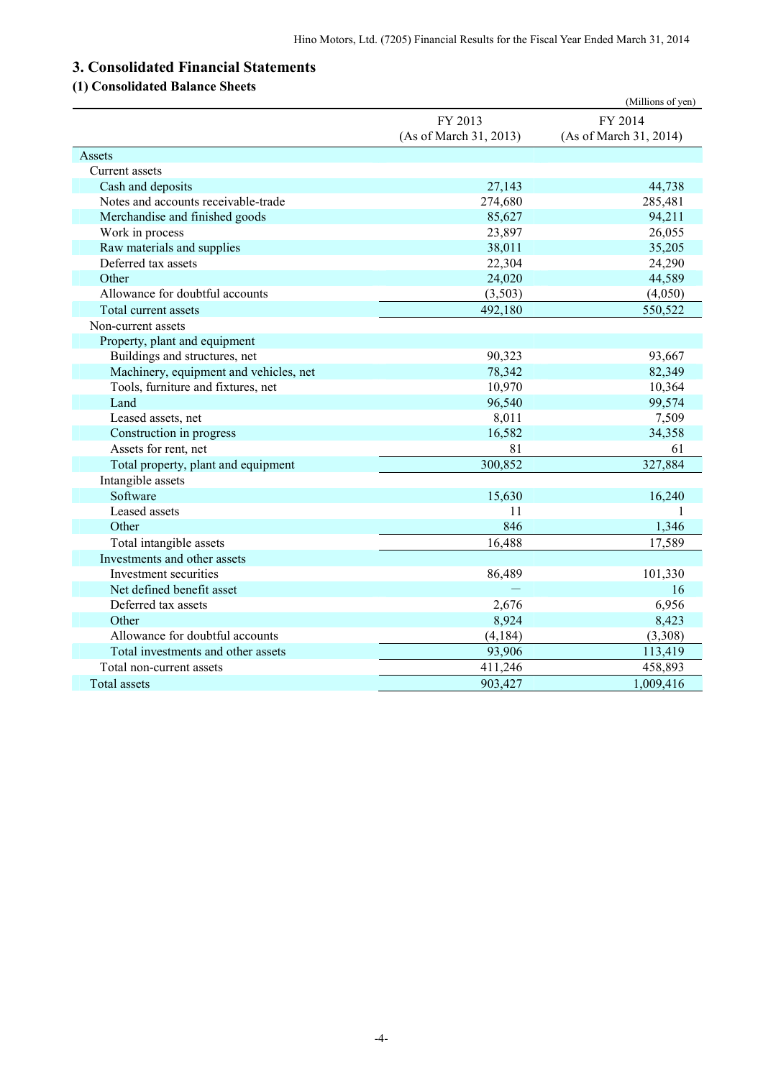# **3. Consolidated Financial Statements**

# **(1) Consolidated Balance Sheets**

|                                        |                        | (Millions of yen)      |
|----------------------------------------|------------------------|------------------------|
|                                        | FY 2013                | FY 2014                |
|                                        | (As of March 31, 2013) | (As of March 31, 2014) |
| Assets                                 |                        |                        |
| Current assets                         |                        |                        |
| Cash and deposits                      | 27,143                 | 44,738                 |
| Notes and accounts receivable-trade    | 274,680                | 285,481                |
| Merchandise and finished goods         | 85,627                 | 94,211                 |
| Work in process                        | 23,897                 | 26,055                 |
| Raw materials and supplies             | 38,011                 | 35,205                 |
| Deferred tax assets                    | 22,304                 | 24,290                 |
| Other                                  | 24,020                 | 44,589                 |
| Allowance for doubtful accounts        | (3,503)                | (4,050)                |
| Total current assets                   | 492,180                | 550,522                |
| Non-current assets                     |                        |                        |
| Property, plant and equipment          |                        |                        |
| Buildings and structures, net          | 90,323                 | 93,667                 |
| Machinery, equipment and vehicles, net | 78,342                 | 82,349                 |
| Tools, furniture and fixtures, net     | 10,970                 | 10,364                 |
| Land                                   | 96,540                 | 99,574                 |
| Leased assets, net                     | 8,011                  | 7,509                  |
| Construction in progress               | 16,582                 | 34,358                 |
| Assets for rent, net                   | 81                     | 61                     |
| Total property, plant and equipment    | 300,852                | 327,884                |
| Intangible assets                      |                        |                        |
| Software                               | 15,630                 | 16,240                 |
| Leased assets                          | 11                     | 1                      |
| Other                                  | 846                    | 1,346                  |
| Total intangible assets                | 16,488                 | 17,589                 |
| Investments and other assets           |                        |                        |
| Investment securities                  | 86,489                 | 101,330                |
| Net defined benefit asset              |                        | 16                     |
| Deferred tax assets                    | 2,676                  | 6,956                  |
| Other                                  | 8,924                  | 8,423                  |
| Allowance for doubtful accounts        | (4, 184)               | (3,308)                |
| Total investments and other assets     | 93,906                 | 113,419                |
| Total non-current assets               | 411,246                | 458,893                |
| Total assets                           | 903,427                | 1,009,416              |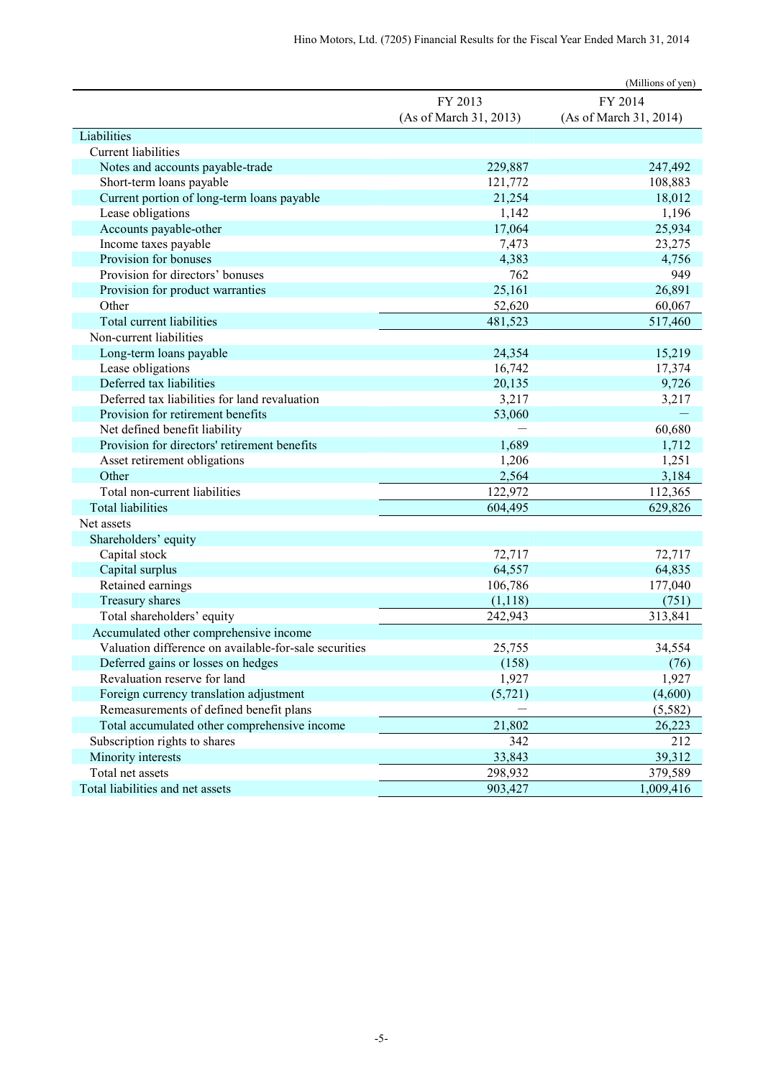|                                                       |                        | (Millions of yen)      |
|-------------------------------------------------------|------------------------|------------------------|
|                                                       | FY 2013                | FY 2014                |
|                                                       | (As of March 31, 2013) | (As of March 31, 2014) |
| Liabilities                                           |                        |                        |
| Current liabilities                                   |                        |                        |
| Notes and accounts payable-trade                      | 229,887                | 247,492                |
| Short-term loans payable                              | 121,772                | 108,883                |
| Current portion of long-term loans payable            | 21,254                 | 18,012                 |
| Lease obligations                                     | 1,142                  | 1,196                  |
| Accounts payable-other                                | 17,064                 | 25,934                 |
| Income taxes payable                                  | 7,473                  | 23,275                 |
| Provision for bonuses                                 | 4,383                  | 4,756                  |
| Provision for directors' bonuses                      | 762                    | 949                    |
| Provision for product warranties                      | 25,161                 | 26,891                 |
| Other                                                 | 52,620                 | 60,067                 |
| <b>Total current liabilities</b>                      | 481,523                | 517,460                |
| Non-current liabilities                               |                        |                        |
| Long-term loans payable                               | 24,354                 | 15,219                 |
| Lease obligations                                     | 16,742                 | 17,374                 |
| Deferred tax liabilities                              | 20,135                 | 9,726                  |
| Deferred tax liabilities for land revaluation         | 3,217                  | 3,217                  |
| Provision for retirement benefits                     | 53,060                 |                        |
| Net defined benefit liability                         |                        | 60,680                 |
| Provision for directors' retirement benefits          | 1,689                  | 1,712                  |
| Asset retirement obligations                          | 1,206                  | 1,251                  |
| Other                                                 | 2,564                  | 3,184                  |
| Total non-current liabilities                         | 122,972                | 112,365                |
| <b>Total liabilities</b>                              | 604,495                | 629,826                |
| Net assets                                            |                        |                        |
| Shareholders' equity                                  |                        |                        |
| Capital stock                                         | 72,717                 | 72,717                 |
| Capital surplus                                       | 64,557                 | 64,835                 |
| Retained earnings                                     | 106,786                | 177,040                |
| Treasury shares                                       | (1,118)                | (751)                  |
| Total shareholders' equity                            | 242,943                | 313,841                |
| Accumulated other comprehensive income                |                        |                        |
| Valuation difference on available-for-sale securities | 25,755                 | 34,554                 |
| Deferred gains or losses on hedges                    | (158)                  | (76)                   |
| Revaluation reserve for land                          | 1,927                  | 1,927                  |
| Foreign currency translation adjustment               | (5, 721)               | (4,600)                |
| Remeasurements of defined benefit plans               |                        | (5,582)                |
| Total accumulated other comprehensive income          | 21,802                 | 26,223                 |
| Subscription rights to shares                         | 342                    | 212                    |
| Minority interests                                    | 33,843                 | 39,312                 |
| Total net assets                                      | 298,932                | 379,589                |
| Total liabilities and net assets                      | 903,427                | 1,009,416              |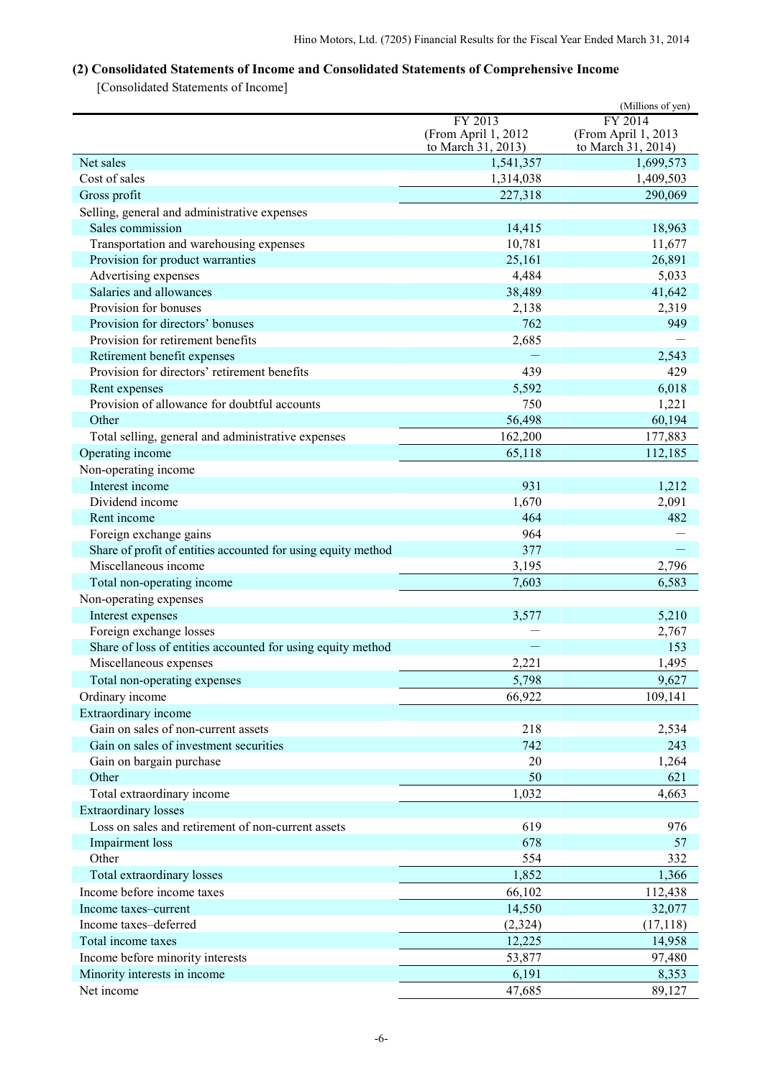# **(2) Consolidated Statements of Income and Consolidated Statements of Comprehensive Income**

[Consolidated Statements of Income]

|                                                                  |                        | (Millions of yen)      |
|------------------------------------------------------------------|------------------------|------------------------|
|                                                                  | FY 2013                | FY 2014                |
|                                                                  | (From April 1, 2012    | (From April 1, 2013    |
|                                                                  | to March 31, 2013)     | to March 31, 2014)     |
| Net sales<br>Cost of sales                                       | 1,541,357<br>1,314,038 | 1,699,573<br>1,409,503 |
|                                                                  |                        |                        |
| Gross profit                                                     | 227,318                | 290,069                |
| Selling, general and administrative expenses<br>Sales commission | 14,415                 |                        |
| Transportation and warehousing expenses                          | 10,781                 | 18,963<br>11,677       |
| Provision for product warranties                                 | 25,161                 | 26,891                 |
| Advertising expenses                                             | 4,484                  | 5,033                  |
| Salaries and allowances                                          | 38,489                 | 41,642                 |
| Provision for bonuses                                            | 2,138                  | 2,319                  |
| Provision for directors' bonuses                                 | 762                    | 949                    |
| Provision for retirement benefits                                | 2,685                  |                        |
| Retirement benefit expenses                                      |                        | 2,543                  |
| Provision for directors' retirement benefits                     | 439                    | 429                    |
| Rent expenses                                                    | 5,592                  | 6,018                  |
| Provision of allowance for doubtful accounts                     | 750                    | 1,221                  |
| Other                                                            | 56,498                 | 60,194                 |
| Total selling, general and administrative expenses               | 162,200                | 177,883                |
| Operating income                                                 | 65,118                 | 112,185                |
| Non-operating income                                             |                        |                        |
| Interest income                                                  | 931                    | 1,212                  |
| Dividend income                                                  | 1,670                  | 2,091                  |
| Rent income                                                      | 464                    | 482                    |
| Foreign exchange gains                                           | 964                    |                        |
| Share of profit of entities accounted for using equity method    | 377                    |                        |
| Miscellaneous income                                             | 3,195                  | 2,796                  |
| Total non-operating income                                       | 7,603                  | 6,583                  |
| Non-operating expenses                                           |                        |                        |
| Interest expenses                                                | 3,577                  | 5,210                  |
| Foreign exchange losses                                          |                        | 2,767                  |
| Share of loss of entities accounted for using equity method      |                        | 153                    |
| Miscellaneous expenses                                           | 2,221                  | 1,495                  |
| Total non-operating expenses                                     | 5,798                  | 9,627                  |
| Ordinary income                                                  | 66,922                 | 109,141                |
| Extraordinary income                                             |                        |                        |
| Gain on sales of non-current assets                              | 218                    | 2,534                  |
| Gain on sales of investment securities                           | 742                    | 243                    |
| Gain on bargain purchase                                         | 20                     | 1,264                  |
| Other                                                            | 50                     | 621                    |
| Total extraordinary income                                       | 1,032                  | 4,663                  |
| <b>Extraordinary losses</b>                                      |                        |                        |
| Loss on sales and retirement of non-current assets               | 619                    | 976                    |
| <b>Impairment</b> loss                                           | 678                    | 57                     |
| Other                                                            | 554                    | 332                    |
| Total extraordinary losses                                       | 1,852                  | 1,366                  |
| Income before income taxes                                       | 66,102                 | 112,438                |
| Income taxes-current                                             | 14,550                 | 32,077                 |
| Income taxes-deferred                                            | (2, 324)               | (17, 118)              |
| Total income taxes                                               | 12,225                 | 14,958                 |
| Income before minority interests                                 | 53,877                 | 97,480                 |
| Minority interests in income                                     | 6,191                  | 8,353                  |
| Net income                                                       | 47,685                 | 89,127                 |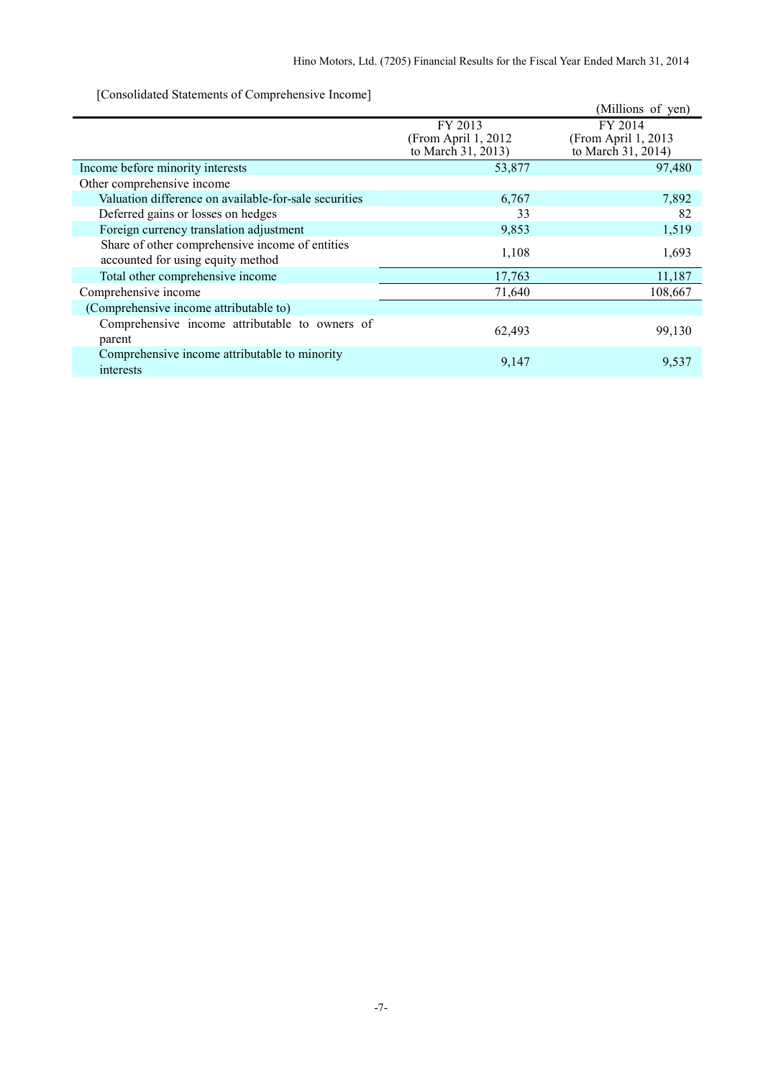[Consolidated Statements of Comprehensive Income]

| $\sim$ consolidated blatements of comprehensive income                               |                                 | (Millions of yen)              |
|--------------------------------------------------------------------------------------|---------------------------------|--------------------------------|
|                                                                                      | FY 2013<br>(From April 1, 2012) | FY 2014<br>(From April 1, 2013 |
|                                                                                      | to March 31, 2013)              | to March 31, 2014)             |
| Income before minority interests                                                     | 53,877                          | 97,480                         |
| Other comprehensive income                                                           |                                 |                                |
| Valuation difference on available-for-sale securities                                | 6,767                           | 7,892                          |
| Deferred gains or losses on hedges                                                   | 33                              | 82                             |
| Foreign currency translation adjustment                                              | 9,853                           | 1,519                          |
| Share of other comprehensive income of entities<br>accounted for using equity method | 1,108                           | 1,693                          |
| Total other comprehensive income                                                     | 17,763                          | 11,187                         |
| Comprehensive income                                                                 | 71,640                          | 108,667                        |
| (Comprehensive income attributable to)                                               |                                 |                                |
| Comprehensive income attributable to owners of<br>parent                             | 62,493                          | 99,130                         |
| Comprehensive income attributable to minority<br>interests                           | 9,147                           | 9,537                          |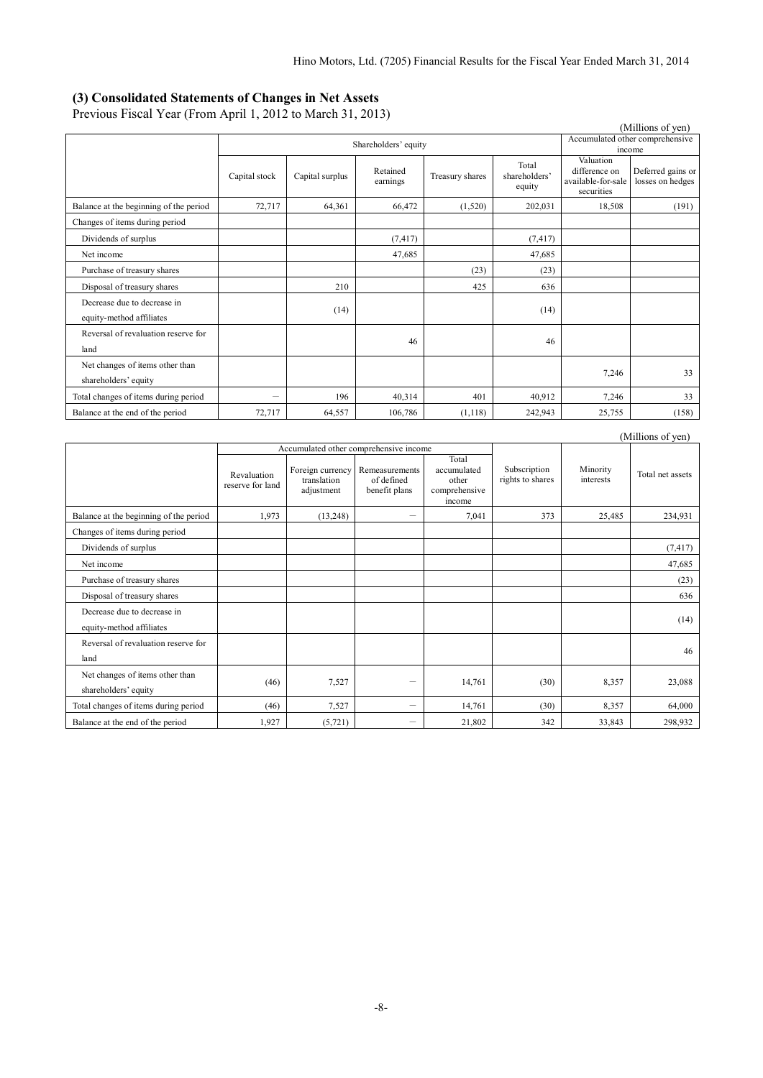#### **(3) Consolidated Statements of Changes in Net Assets**

Previous Fiscal Year (From April 1, 2012 to March 31, 2013)

|                                                         |                          |                 |                      |                                 |                                  |                                                                | (Millions of yen)                     |
|---------------------------------------------------------|--------------------------|-----------------|----------------------|---------------------------------|----------------------------------|----------------------------------------------------------------|---------------------------------------|
|                                                         |                          |                 |                      | Accumulated other comprehensive |                                  |                                                                |                                       |
|                                                         |                          |                 | Shareholders' equity |                                 |                                  |                                                                | income                                |
|                                                         | Capital stock            | Capital surplus | Retained<br>earnings | Treasury shares                 | Total<br>shareholders'<br>equity | Valuation<br>difference on<br>available-for-sale<br>securities | Deferred gains or<br>losses on hedges |
| Balance at the beginning of the period                  | 72,717                   | 64,361          | 66,472               | (1,520)                         | 202,031                          | 18,508                                                         | (191)                                 |
| Changes of items during period                          |                          |                 |                      |                                 |                                  |                                                                |                                       |
| Dividends of surplus                                    |                          |                 | (7, 417)             |                                 | (7, 417)                         |                                                                |                                       |
| Net income                                              |                          |                 | 47,685               |                                 | 47,685                           |                                                                |                                       |
| Purchase of treasury shares                             |                          |                 |                      | (23)                            | (23)                             |                                                                |                                       |
| Disposal of treasury shares                             |                          | 210             |                      | 425                             | 636                              |                                                                |                                       |
| Decrease due to decrease in<br>equity-method affiliates |                          | (14)            |                      |                                 | (14)                             |                                                                |                                       |
| Reversal of revaluation reserve for<br>land             |                          |                 | 46                   |                                 | 46                               |                                                                |                                       |
| Net changes of items other than<br>shareholders' equity |                          |                 |                      |                                 |                                  | 7,246                                                          | 33                                    |
| Total changes of items during period                    | $\overline{\phantom{0}}$ | 196             | 40,314               | 401                             | 40,912                           | 7,246                                                          | 33                                    |
| Balance at the end of the period                        | 72,717                   | 64,557          | 106,786              | (1,118)                         | 242,943                          | 25,755                                                         | (158)                                 |

|                                                         |                                 |                                               |                                               |                                                          |                                  |                       | (Millions of yen) |
|---------------------------------------------------------|---------------------------------|-----------------------------------------------|-----------------------------------------------|----------------------------------------------------------|----------------------------------|-----------------------|-------------------|
|                                                         |                                 |                                               | Accumulated other comprehensive income        |                                                          |                                  |                       |                   |
|                                                         | Revaluation<br>reserve for land | Foreign currency<br>translation<br>adjustment | Remeasurements<br>of defined<br>benefit plans | Total<br>accumulated<br>other<br>comprehensive<br>income | Subscription<br>rights to shares | Minority<br>interests | Total net assets  |
| Balance at the beginning of the period                  | 1,973                           | (13, 248)                                     |                                               | 7,041                                                    | 373                              | 25,485                | 234,931           |
| Changes of items during period                          |                                 |                                               |                                               |                                                          |                                  |                       |                   |
| Dividends of surplus                                    |                                 |                                               |                                               |                                                          |                                  |                       | (7, 417)          |
| Net income                                              |                                 |                                               |                                               |                                                          |                                  |                       | 47,685            |
| Purchase of treasury shares                             |                                 |                                               |                                               |                                                          |                                  |                       | (23)              |
| Disposal of treasury shares                             |                                 |                                               |                                               |                                                          |                                  |                       | 636               |
| Decrease due to decrease in<br>equity-method affiliates |                                 |                                               |                                               |                                                          |                                  |                       | (14)              |
| Reversal of revaluation reserve for<br>land             |                                 |                                               |                                               |                                                          |                                  |                       | 46                |
| Net changes of items other than<br>shareholders' equity | (46)                            | 7,527                                         | $\qquad \qquad$                               | 14,761                                                   | (30)                             | 8,357                 | 23,088            |
| Total changes of items during period                    | (46)                            | 7,527                                         | $\overline{\phantom{m}}$                      | 14,761                                                   | (30)                             | 8,357                 | 64,000            |
| Balance at the end of the period                        | 1,927                           | (5, 721)                                      |                                               | 21,802                                                   | 342                              | 33,843                | 298,932           |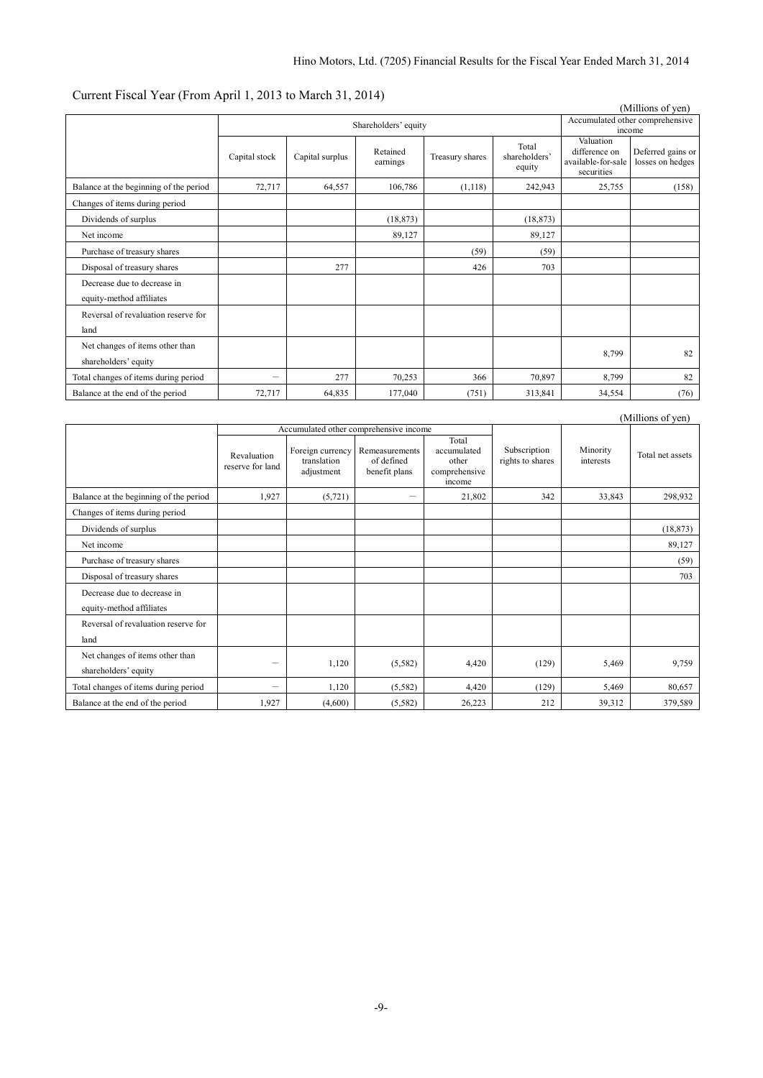# Current Fiscal Year (From April 1, 2013 to March 31, 2014)

| (Millions of yen)                      |                          |                 |                      |                                 |                                  |                                                                |                                       |
|----------------------------------------|--------------------------|-----------------|----------------------|---------------------------------|----------------------------------|----------------------------------------------------------------|---------------------------------------|
|                                        |                          |                 |                      | Accumulated other comprehensive |                                  |                                                                |                                       |
|                                        |                          |                 | Shareholders' equity |                                 |                                  | income                                                         |                                       |
|                                        | Capital stock            | Capital surplus | Retained<br>earnings | Treasury shares                 | Total<br>shareholders'<br>equity | Valuation<br>difference on<br>available-for-sale<br>securities | Deferred gains or<br>losses on hedges |
| Balance at the beginning of the period | 72,717                   | 64,557          | 106,786              | (1,118)                         | 242,943                          | 25,755                                                         | (158)                                 |
| Changes of items during period         |                          |                 |                      |                                 |                                  |                                                                |                                       |
| Dividends of surplus                   |                          |                 | (18, 873)            |                                 | (18, 873)                        |                                                                |                                       |
| Net income                             |                          |                 | 89,127               |                                 | 89,127                           |                                                                |                                       |
| Purchase of treasury shares            |                          |                 |                      | (59)                            | (59)                             |                                                                |                                       |
| Disposal of treasury shares            |                          | 277             |                      | 426                             | 703                              |                                                                |                                       |
| Decrease due to decrease in            |                          |                 |                      |                                 |                                  |                                                                |                                       |
| equity-method affiliates               |                          |                 |                      |                                 |                                  |                                                                |                                       |
| Reversal of revaluation reserve for    |                          |                 |                      |                                 |                                  |                                                                |                                       |
| land                                   |                          |                 |                      |                                 |                                  |                                                                |                                       |
| Net changes of items other than        |                          |                 |                      |                                 |                                  |                                                                | 82                                    |
| shareholders' equity                   |                          |                 |                      |                                 |                                  | 8,799                                                          |                                       |
| Total changes of items during period   | $\overline{\phantom{0}}$ | 277             | 70,253               | 366                             | 70,897                           | 8,799                                                          | 82                                    |
| Balance at the end of the period       | 72,717                   | 64,835          | 177,040              | (751)                           | 313,841                          | 34,554                                                         | (76)                                  |

|                                                         |                                 |                                               |                                               |                                                          |                                  |                       | (Millions of yen) |
|---------------------------------------------------------|---------------------------------|-----------------------------------------------|-----------------------------------------------|----------------------------------------------------------|----------------------------------|-----------------------|-------------------|
|                                                         |                                 |                                               | Accumulated other comprehensive income        |                                                          |                                  |                       |                   |
|                                                         | Revaluation<br>reserve for land | Foreign currency<br>translation<br>adjustment | Remeasurements<br>of defined<br>benefit plans | Total<br>accumulated<br>other<br>comprehensive<br>income | Subscription<br>rights to shares | Minority<br>interests | Total net assets  |
| Balance at the beginning of the period                  | 1,927                           | (5, 721)                                      |                                               | 21,802                                                   | 342                              | 33,843                | 298,932           |
| Changes of items during period                          |                                 |                                               |                                               |                                                          |                                  |                       |                   |
| Dividends of surplus                                    |                                 |                                               |                                               |                                                          |                                  |                       | (18, 873)         |
| Net income                                              |                                 |                                               |                                               |                                                          |                                  |                       | 89,127            |
| Purchase of treasury shares                             |                                 |                                               |                                               |                                                          |                                  |                       | (59)              |
| Disposal of treasury shares                             |                                 |                                               |                                               |                                                          |                                  |                       | 703               |
| Decrease due to decrease in<br>equity-method affiliates |                                 |                                               |                                               |                                                          |                                  |                       |                   |
| Reversal of revaluation reserve for<br>land             |                                 |                                               |                                               |                                                          |                                  |                       |                   |
| Net changes of items other than<br>shareholders' equity |                                 | 1,120                                         | (5,582)                                       | 4,420                                                    | (129)                            | 5,469                 | 9,759             |
| Total changes of items during period                    | $\overline{\phantom{0}}$        | 1,120                                         | (5, 582)                                      | 4,420                                                    | (129)                            | 5,469                 | 80,657            |
| Balance at the end of the period                        | 1,927                           | (4,600)                                       | (5, 582)                                      | 26,223                                                   | 212                              | 39,312                | 379,589           |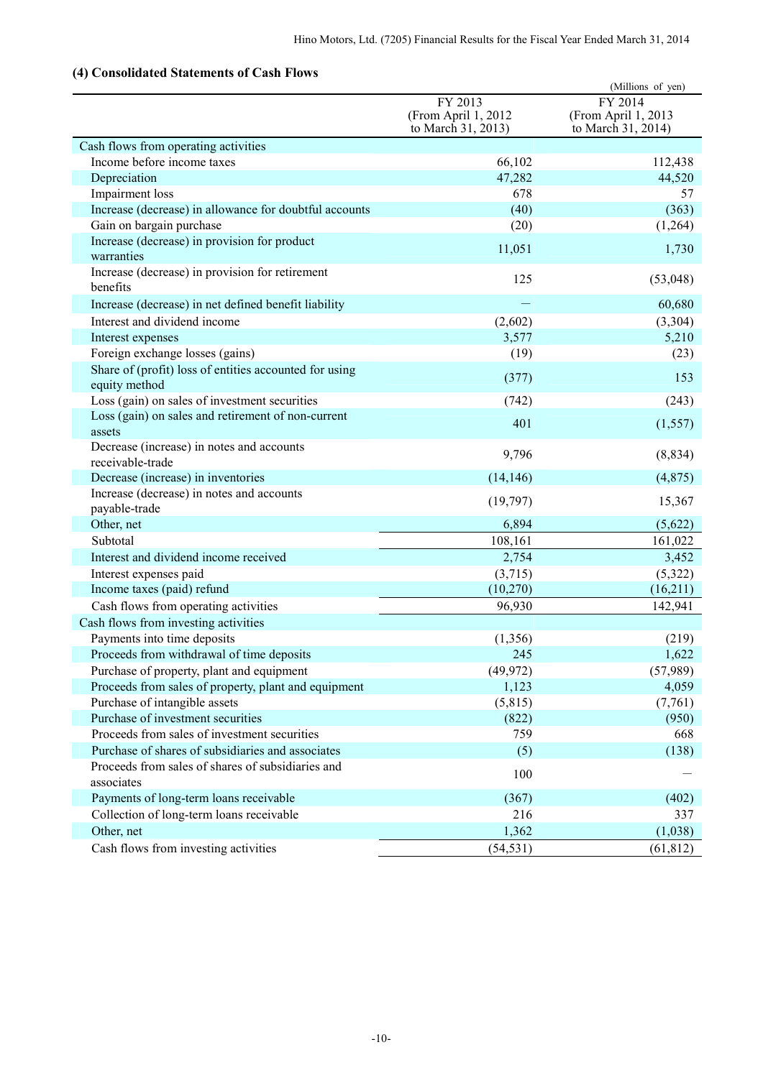# **(4) Consolidated Statements of Cash Flows**

| Consonaatta Biattintiits of Cash Fio                                    |                                                      | (Millions of yen)                                    |
|-------------------------------------------------------------------------|------------------------------------------------------|------------------------------------------------------|
|                                                                         | FY 2013<br>(From April 1, 2012<br>to March 31, 2013) | FY 2014<br>(From April 1, 2013<br>to March 31, 2014) |
| Cash flows from operating activities                                    |                                                      |                                                      |
| Income before income taxes                                              | 66,102                                               | 112,438                                              |
| Depreciation                                                            | 47,282                                               | 44,520                                               |
| Impairment loss                                                         | 678                                                  | 57                                                   |
| Increase (decrease) in allowance for doubtful accounts                  | (40)                                                 | (363)                                                |
| Gain on bargain purchase                                                | (20)                                                 | (1,264)                                              |
| Increase (decrease) in provision for product<br>warranties              | 11,051                                               | 1,730                                                |
| Increase (decrease) in provision for retirement<br>benefits             | 125                                                  | (53,048)                                             |
| Increase (decrease) in net defined benefit liability                    |                                                      | 60,680                                               |
| Interest and dividend income                                            | (2,602)                                              | (3,304)                                              |
| Interest expenses                                                       | 3,577                                                | 5,210                                                |
| Foreign exchange losses (gains)                                         | (19)                                                 | (23)                                                 |
| Share of (profit) loss of entities accounted for using<br>equity method | (377)                                                | 153                                                  |
| Loss (gain) on sales of investment securities                           | (742)                                                | (243)                                                |
| Loss (gain) on sales and retirement of non-current<br>assets            | 401                                                  | (1, 557)                                             |
| Decrease (increase) in notes and accounts<br>receivable-trade           | 9,796                                                | (8, 834)                                             |
| Decrease (increase) in inventories                                      | (14, 146)                                            | (4, 875)                                             |
| Increase (decrease) in notes and accounts<br>payable-trade              | (19,797)                                             | 15,367                                               |
| Other, net                                                              | 6,894                                                | (5,622)                                              |
| Subtotal                                                                | 108,161                                              | 161,022                                              |
| Interest and dividend income received                                   | 2,754                                                | 3,452                                                |
| Interest expenses paid                                                  | (3,715)                                              | (5,322)                                              |
| Income taxes (paid) refund                                              | (10,270)                                             | (16,211)                                             |
| Cash flows from operating activities                                    | 96,930                                               | 142,941                                              |
| Cash flows from investing activities                                    |                                                      |                                                      |
| Payments into time deposits                                             | (1, 356)                                             | (219)                                                |
| Proceeds from withdrawal of time deposits                               | 245                                                  | 1,622                                                |
| Purchase of property, plant and equipment                               | (49, 972)                                            | (57,989)                                             |
| Proceeds from sales of property, plant and equipment                    | 1,123                                                | 4,059                                                |
| Purchase of intangible assets                                           | (5,815)                                              | (7,761)                                              |
| Purchase of investment securities                                       | (822)                                                | (950)                                                |
| Proceeds from sales of investment securities                            | 759                                                  | 668                                                  |
| Purchase of shares of subsidiaries and associates                       | (5)                                                  | (138)                                                |
| Proceeds from sales of shares of subsidiaries and<br>associates         | 100                                                  |                                                      |
| Payments of long-term loans receivable                                  | (367)                                                | (402)                                                |
| Collection of long-term loans receivable                                | 216                                                  | 337                                                  |
| Other, net                                                              | 1,362                                                | (1,038)                                              |
| Cash flows from investing activities                                    | (54, 531)                                            | (61, 812)                                            |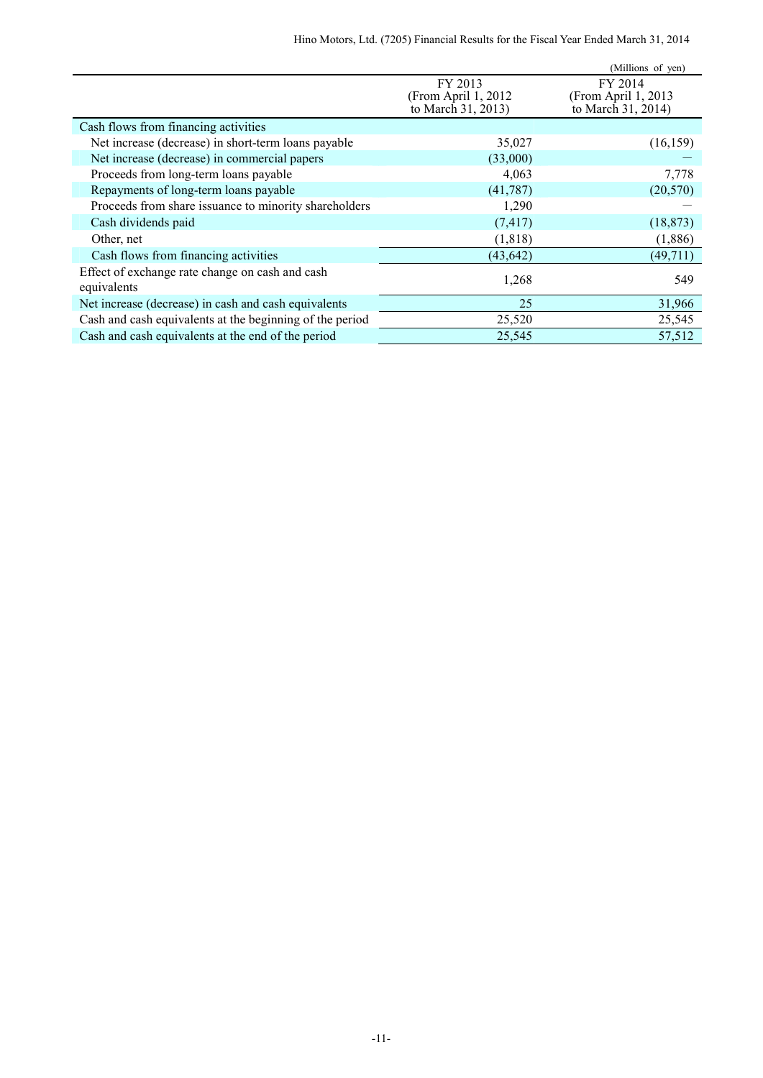|                                                                |                                                      | (Millions of yen)                                     |
|----------------------------------------------------------------|------------------------------------------------------|-------------------------------------------------------|
|                                                                | FY 2013<br>(From April 1, 2012<br>to March 31, 2013) | FY 2014<br>(From April 1, 2013)<br>to March 31, 2014) |
| Cash flows from financing activities                           |                                                      |                                                       |
| Net increase (decrease) in short-term loans payable            | 35,027                                               | (16, 159)                                             |
| Net increase (decrease) in commercial papers                   | (33,000)                                             |                                                       |
| Proceeds from long-term loans payable                          | 4,063                                                | 7,778                                                 |
| Repayments of long-term loans payable                          | (41, 787)                                            | (20, 570)                                             |
| Proceeds from share issuance to minority shareholders          | 1,290                                                |                                                       |
| Cash dividends paid                                            | (7, 417)                                             | (18, 873)                                             |
| Other, net                                                     | (1, 818)                                             | (1,886)                                               |
| Cash flows from financing activities                           | (43, 642)                                            | (49, 711)                                             |
| Effect of exchange rate change on cash and cash<br>equivalents | 1,268                                                | 549                                                   |
| Net increase (decrease) in cash and cash equivalents           | 25                                                   | 31,966                                                |
| Cash and cash equivalents at the beginning of the period       | 25,520                                               | 25,545                                                |
| Cash and cash equivalents at the end of the period             | 25,545                                               | 57,512                                                |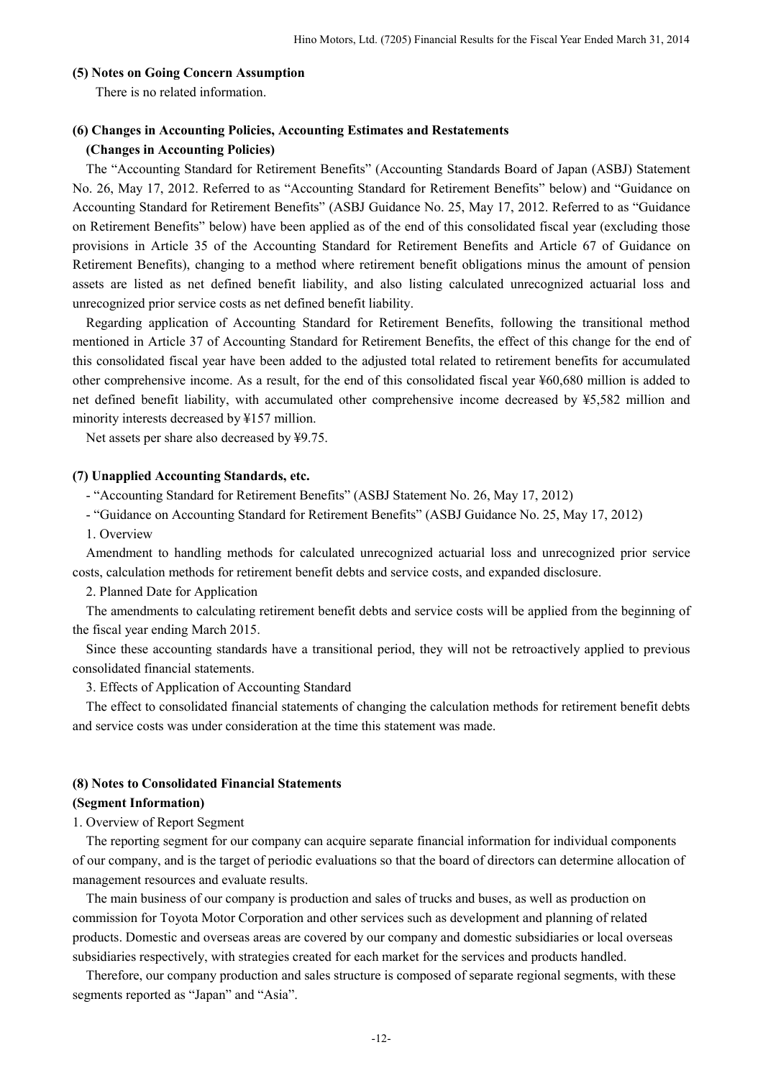## **(5) Notes on Going Concern Assumption**

There is no related information.

# **(6) Changes in Accounting Policies, Accounting Estimates and Restatements**

## **(Changes in Accounting Policies)**

The "Accounting Standard for Retirement Benefits" (Accounting Standards Board of Japan (ASBJ) Statement No. 26, May 17, 2012. Referred to as "Accounting Standard for Retirement Benefits" below) and "Guidance on Accounting Standard for Retirement Benefits" (ASBJ Guidance No. 25, May 17, 2012. Referred to as "Guidance on Retirement Benefits" below) have been applied as of the end of this consolidated fiscal year (excluding those provisions in Article 35 of the Accounting Standard for Retirement Benefits and Article 67 of Guidance on Retirement Benefits), changing to a method where retirement benefit obligations minus the amount of pension assets are listed as net defined benefit liability, and also listing calculated unrecognized actuarial loss and unrecognized prior service costs as net defined benefit liability.

 Regarding application of Accounting Standard for Retirement Benefits, following the transitional method mentioned in Article 37 of Accounting Standard for Retirement Benefits, the effect of this change for the end of this consolidated fiscal year have been added to the adjusted total related to retirement benefits for accumulated other comprehensive income. As a result, for the end of this consolidated fiscal year ¥60,680 million is added to net defined benefit liability, with accumulated other comprehensive income decreased by ¥5,582 million and minority interests decreased by ¥157 million.

Net assets per share also decreased by ¥9.75.

#### **(7) Unapplied Accounting Standards, etc.**

- "Accounting Standard for Retirement Benefits" (ASBJ Statement No. 26, May 17, 2012)

- "Guidance on Accounting Standard for Retirement Benefits" (ASBJ Guidance No. 25, May 17, 2012)

1. Overview

Amendment to handling methods for calculated unrecognized actuarial loss and unrecognized prior service costs, calculation methods for retirement benefit debts and service costs, and expanded disclosure.

2. Planned Date for Application

The amendments to calculating retirement benefit debts and service costs will be applied from the beginning of the fiscal year ending March 2015.

Since these accounting standards have a transitional period, they will not be retroactively applied to previous consolidated financial statements.

3. Effects of Application of Accounting Standard

The effect to consolidated financial statements of changing the calculation methods for retirement benefit debts and service costs was under consideration at the time this statement was made.

#### **(8) Notes to Consolidated Financial Statements**

#### **(Segment Information)**

1. Overview of Report Segment

The reporting segment for our company can acquire separate financial information for individual components of our company, and is the target of periodic evaluations so that the board of directors can determine allocation of management resources and evaluate results.

The main business of our company is production and sales of trucks and buses, as well as production on commission for Toyota Motor Corporation and other services such as development and planning of related products. Domestic and overseas areas are covered by our company and domestic subsidiaries or local overseas subsidiaries respectively, with strategies created for each market for the services and products handled.

Therefore, our company production and sales structure is composed of separate regional segments, with these segments reported as "Japan" and "Asia".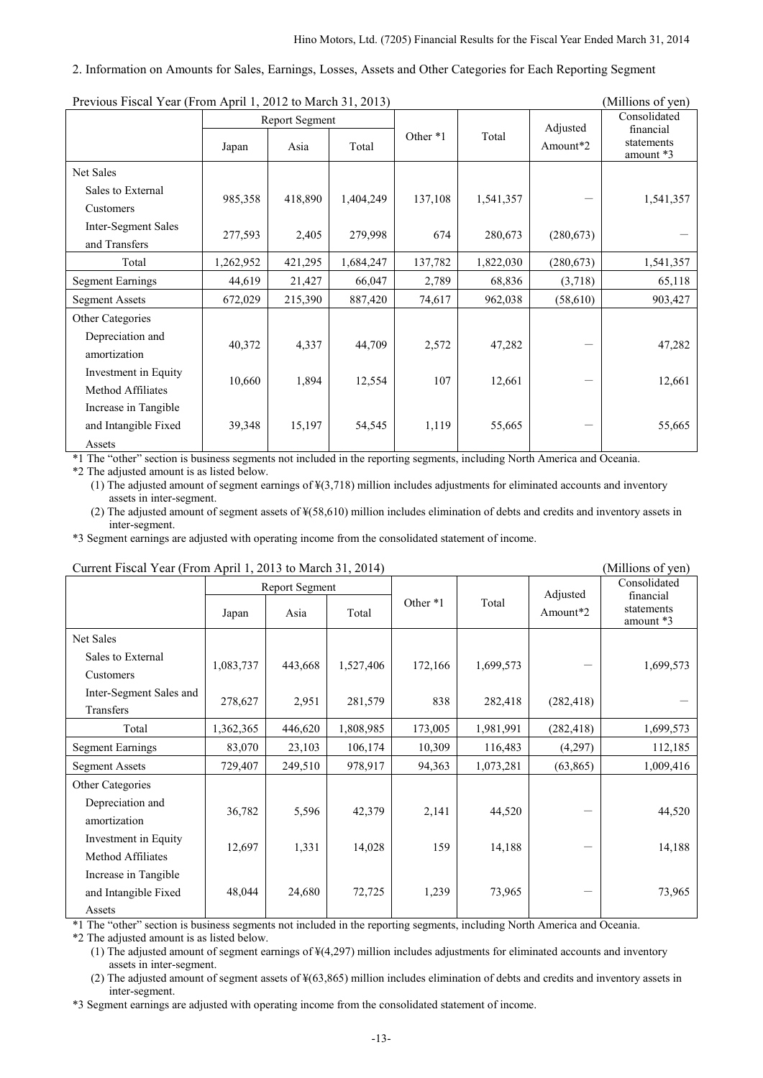#### 2. Information on Amounts for Sales, Earnings, Losses, Assets and Other Categories for Each Reporting Segment

| Previous Fiscal Year (From April 1, 2012 to March 31, 2013)<br>(MIIIIONS OF VEN) |           |                               |           |          |           |                      |                                                      |  |
|----------------------------------------------------------------------------------|-----------|-------------------------------|-----------|----------|-----------|----------------------|------------------------------------------------------|--|
|                                                                                  | Japan     | <b>Report Segment</b><br>Asia | Total     | Other *1 | Total     | Adjusted<br>Amount*2 | Consolidated<br>financial<br>statements<br>amount *3 |  |
| Net Sales                                                                        |           |                               |           |          |           |                      |                                                      |  |
| Sales to External<br>Customers                                                   | 985,358   | 418,890                       | 1,404,249 | 137,108  | 1,541,357 |                      | 1,541,357                                            |  |
| Inter-Segment Sales<br>and Transfers                                             | 277,593   | 2,405                         | 279,998   | 674      | 280,673   | (280, 673)           |                                                      |  |
| Total                                                                            | 1,262,952 | 421,295                       | 1,684,247 | 137,782  | 1,822,030 | (280, 673)           | 1,541,357                                            |  |
| <b>Segment Earnings</b>                                                          | 44,619    | 21,427                        | 66,047    | 2,789    | 68,836    | (3,718)              | 65,118                                               |  |
| <b>Segment Assets</b>                                                            | 672,029   | 215,390                       | 887,420   | 74,617   | 962,038   | (58, 610)            | 903,427                                              |  |
| Other Categories<br>Depreciation and<br>amortization                             | 40,372    | 4,337                         | 44,709    | 2,572    | 47,282    |                      | 47,282                                               |  |
| Investment in Equity<br>Method Affiliates                                        | 10,660    | 1,894                         | 12,554    | 107      | 12,661    |                      | 12,661                                               |  |
| Increase in Tangible<br>and Intangible Fixed<br>Assets                           | 39,348    | 15,197                        | 54,545    | 1,119    | 55,665    |                      | 55,665                                               |  |

 $P_{\text{revious } \text{Fical } \text{Vear (From } \text{April } 1, 2012 \text{ to } \text{Marsk } 21, 2012)$  (Millions of yen)

\*1 The "other" section is business segments not included in the reporting segments, including North America and Oceania.

\*2 The adjusted amount is as listed below.

(1) The adjusted amount of segment earnings of ¥(3,718) million includes adjustments for eliminated accounts and inventory assets in inter-segment.

(2) The adjusted amount of segment assets of ¥(58,610) million includes elimination of debts and credits and inventory assets in inter-segment.

\*3 Segment earnings are adjusted with operating income from the consolidated statement of income.

| Current Fiscal Year (From April 1, 2013 to March 31, 2014)<br>(Millions of yen) |           |                        |           |          |           |                      |                                                      |  |
|---------------------------------------------------------------------------------|-----------|------------------------|-----------|----------|-----------|----------------------|------------------------------------------------------|--|
|                                                                                 | Japan     | Report Segment<br>Asia | Total     | Other *1 | Total     | Adjusted<br>Amount*2 | Consolidated<br>financial<br>statements<br>amount *3 |  |
| Net Sales                                                                       |           |                        |           |          |           |                      |                                                      |  |
| Sales to External<br>Customers                                                  | 1,083,737 | 443,668                | 1,527,406 | 172,166  | 1,699,573 |                      | 1,699,573                                            |  |
| Inter-Segment Sales and<br>Transfers                                            | 278,627   | 2,951                  | 281,579   | 838      | 282,418   | (282, 418)           |                                                      |  |
| Total                                                                           | 1,362,365 | 446,620                | 1,808,985 | 173,005  | 1,981,991 | (282, 418)           | 1,699,573                                            |  |
| <b>Segment Earnings</b>                                                         | 83,070    | 23,103                 | 106,174   | 10,309   | 116,483   | (4,297)              | 112,185                                              |  |
| <b>Segment Assets</b>                                                           | 729,407   | 249,510                | 978,917   | 94,363   | 1,073,281 | (63,865)             | 1,009,416                                            |  |
| Other Categories<br>Depreciation and<br>amortization                            | 36,782    | 5,596                  | 42,379    | 2,141    | 44,520    |                      | 44,520                                               |  |
| Investment in Equity<br>Method Affiliates                                       | 12,697    | 1,331                  | 14,028    | 159      | 14,188    |                      | 14,188                                               |  |
| Increase in Tangible<br>and Intangible Fixed<br>Assets                          | 48,044    | 24,680                 | 72,725    | 1,239    | 73,965    |                      | 73,965                                               |  |

\*1 The "other" section is business segments not included in the reporting segments, including North America and Oceania.

\*2 The adjusted amount is as listed below.

(1) The adjusted amount of segment earnings of ¥(4,297) million includes adjustments for eliminated accounts and inventory assets in inter-segment.

(2) The adjusted amount of segment assets of ¥(63,865) million includes elimination of debts and credits and inventory assets in inter-segment.

\*3 Segment earnings are adjusted with operating income from the consolidated statement of income.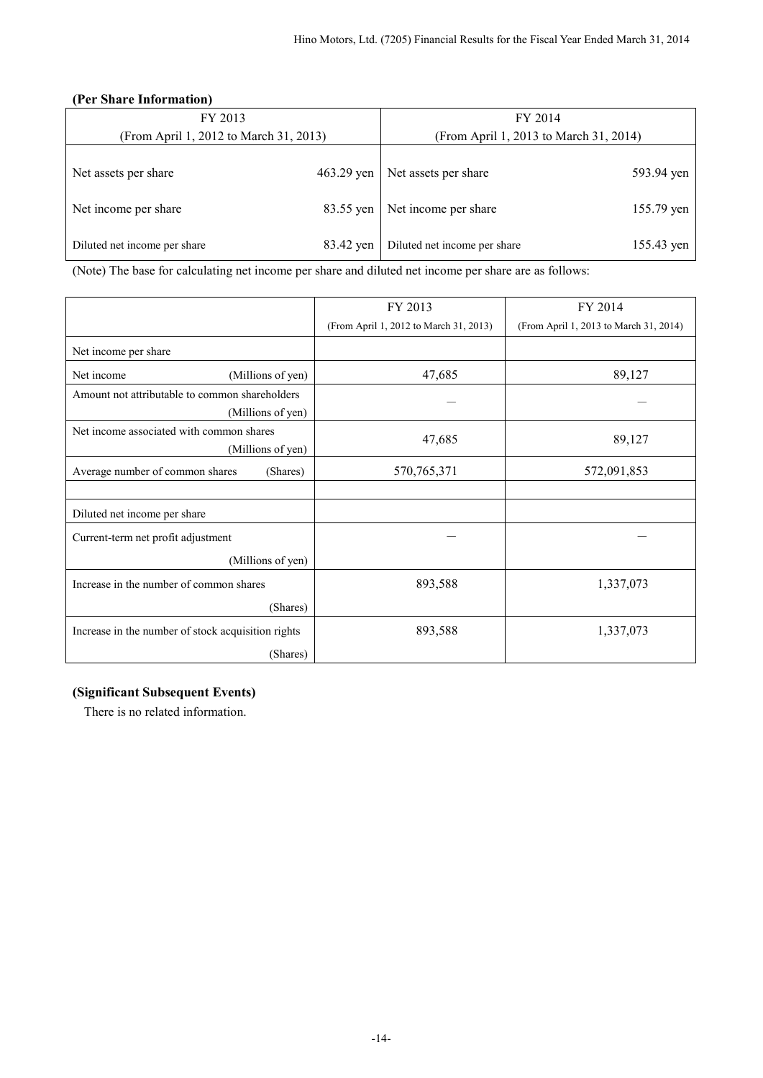## **(Per Share Information)**

| FY 2013                                |           | FY 2014                                |            |  |
|----------------------------------------|-----------|----------------------------------------|------------|--|
| (From April 1, 2012 to March 31, 2013) |           | (From April 1, 2013 to March 31, 2014) |            |  |
| 463.29 yen<br>Net assets per share     |           | Net assets per share<br>593.94 yen     |            |  |
| Net income per share                   | 83.55 yen | Net income per share                   | 155.79 yen |  |
| Diluted net income per share           | 83.42 yen | Diluted net income per share           | 155.43 yen |  |

(Note) The base for calculating net income per share and diluted net income per share are as follows:

|                                                                     | FY 2013                                | FY 2014                                |
|---------------------------------------------------------------------|----------------------------------------|----------------------------------------|
|                                                                     | (From April 1, 2012 to March 31, 2013) | (From April 1, 2013 to March 31, 2014) |
| Net income per share                                                |                                        |                                        |
| Net income<br>(Millions of yen)                                     | 47,685                                 | 89,127                                 |
| Amount not attributable to common shareholders<br>(Millions of yen) |                                        |                                        |
| Net income associated with common shares<br>(Millions of yen)       | 47,685                                 | 89,127                                 |
| Average number of common shares<br>(Shares)                         | 570,765,371                            | 572,091,853                            |
|                                                                     |                                        |                                        |
| Diluted net income per share                                        |                                        |                                        |
| Current-term net profit adjustment                                  |                                        |                                        |
| (Millions of yen)                                                   |                                        |                                        |
| Increase in the number of common shares                             | 893,588                                | 1,337,073                              |
| (Shares)                                                            |                                        |                                        |
| Increase in the number of stock acquisition rights                  | 893,588                                | 1,337,073                              |
| (Shares)                                                            |                                        |                                        |

## **(Significant Subsequent Events)**

There is no related information.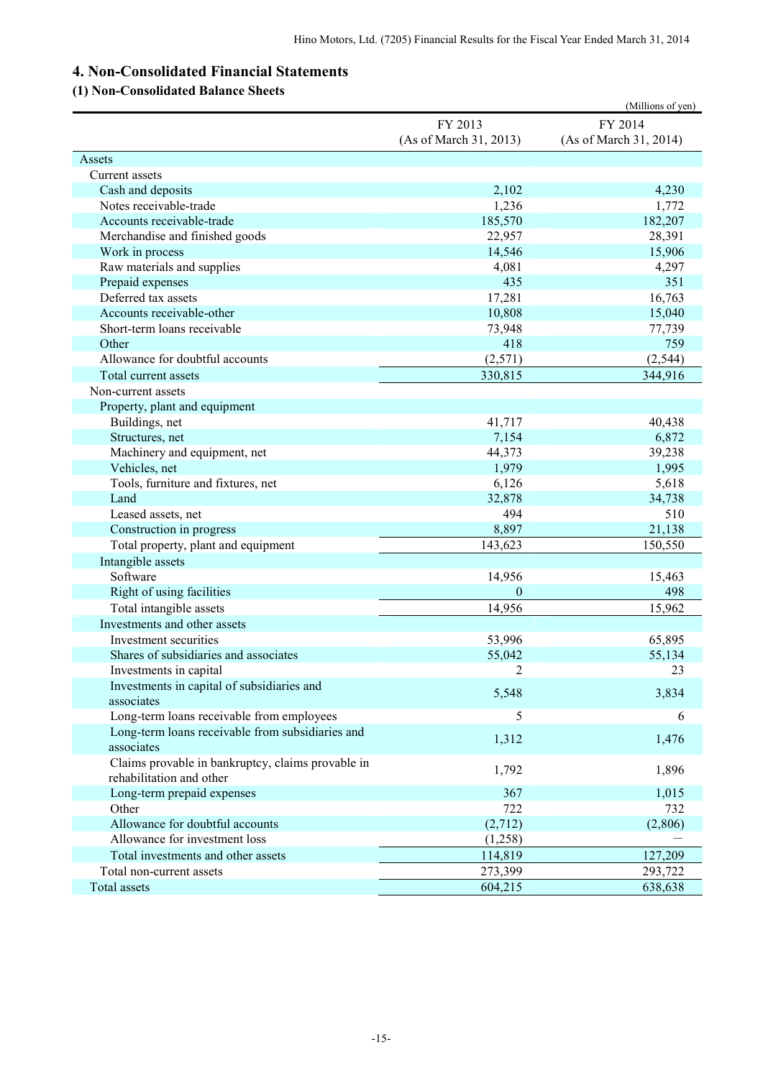# **4. Non-Consolidated Financial Statements**

# **(1) Non-Consolidated Balance Sheets**

|                                                                               |                        | (Millions of yen)      |
|-------------------------------------------------------------------------------|------------------------|------------------------|
|                                                                               | FY 2013                | FY 2014                |
|                                                                               | (As of March 31, 2013) | (As of March 31, 2014) |
| Assets                                                                        |                        |                        |
| Current assets                                                                |                        |                        |
| Cash and deposits                                                             | 2,102                  | 4,230                  |
| Notes receivable-trade                                                        | 1,236                  | 1,772                  |
| Accounts receivable-trade                                                     | 185,570                | 182,207                |
| Merchandise and finished goods                                                | 22,957                 | 28,391                 |
| Work in process                                                               | 14,546                 | 15,906                 |
| Raw materials and supplies                                                    | 4,081                  | 4,297                  |
| Prepaid expenses                                                              | 435                    | 351                    |
| Deferred tax assets                                                           | 17,281                 | 16,763                 |
| Accounts receivable-other                                                     | 10,808                 | 15,040                 |
| Short-term loans receivable                                                   | 73,948                 | 77,739                 |
| Other                                                                         | 418                    | 759                    |
| Allowance for doubtful accounts                                               | (2,571)                | (2, 544)               |
| Total current assets                                                          | 330,815                | 344,916                |
| Non-current assets                                                            |                        |                        |
| Property, plant and equipment                                                 |                        |                        |
| Buildings, net                                                                | 41,717                 | 40,438                 |
| Structures, net                                                               | 7,154                  | 6,872                  |
| Machinery and equipment, net                                                  | 44,373                 | 39,238                 |
| Vehicles, net                                                                 | 1,979                  | 1,995                  |
| Tools, furniture and fixtures, net                                            | 6,126                  | 5,618                  |
| Land                                                                          | 32,878                 | 34,738                 |
| Leased assets, net                                                            | 494                    | 510                    |
| Construction in progress                                                      | 8,897                  | 21,138                 |
| Total property, plant and equipment                                           | 143,623                | 150,550                |
| Intangible assets                                                             |                        |                        |
| Software                                                                      | 14,956                 | 15,463                 |
| Right of using facilities                                                     | $\theta$               | 498                    |
| Total intangible assets                                                       | 14,956                 | 15,962                 |
| Investments and other assets                                                  |                        |                        |
| Investment securities                                                         | 53,996                 | 65,895                 |
| Shares of subsidiaries and associates                                         | 55,042                 | 55,134                 |
| Investments in capital                                                        | 2                      | 23                     |
| Investments in capital of subsidiaries and                                    | 5,548                  | 3,834                  |
| associates                                                                    |                        |                        |
| Long-term loans receivable from employees                                     | 5                      | 6                      |
| Long-term loans receivable from subsidiaries and<br>associates                | 1,312                  | 1,476                  |
| Claims provable in bankruptcy, claims provable in<br>rehabilitation and other | 1,792                  | 1,896                  |
| Long-term prepaid expenses                                                    | 367                    | 1,015                  |
| Other                                                                         | 722                    | 732                    |
| Allowance for doubtful accounts                                               | (2,712)                | (2,806)                |
| Allowance for investment loss                                                 | (1,258)                |                        |
| Total investments and other assets                                            | 114,819                | 127,209                |
| Total non-current assets                                                      | 273,399                | 293,722                |
| Total assets                                                                  | 604,215                | 638,638                |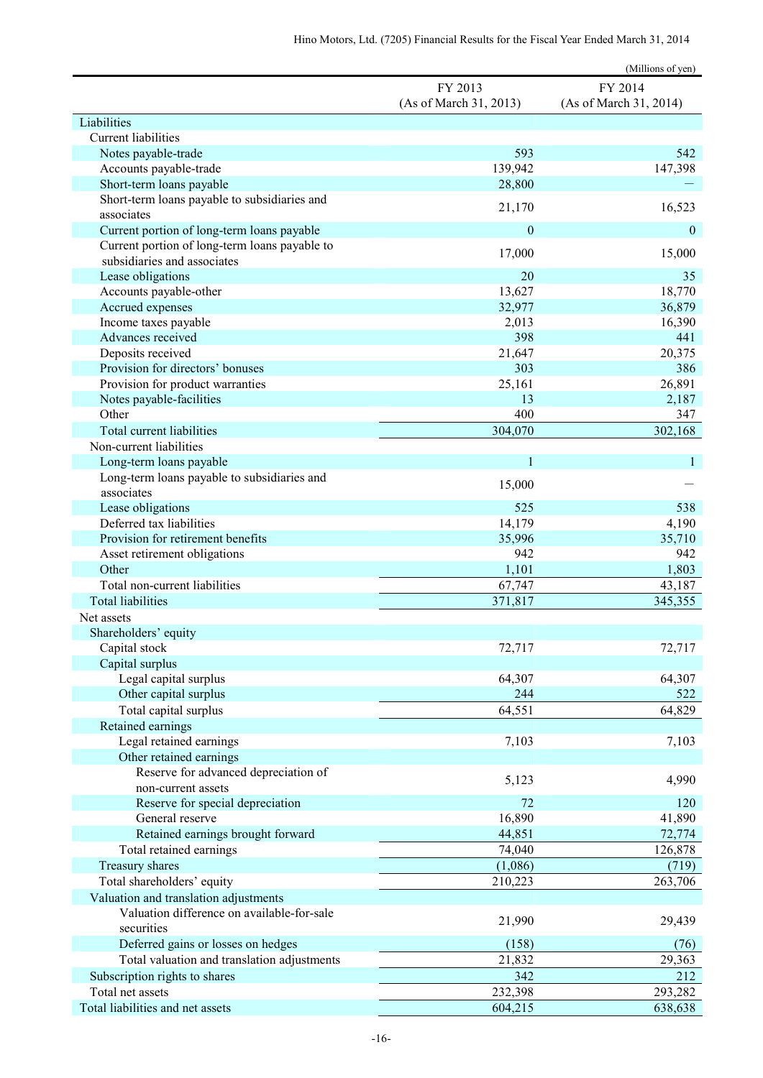|                                                                              |                        | (Millions of yen)      |
|------------------------------------------------------------------------------|------------------------|------------------------|
|                                                                              | FY 2013                | FY 2014                |
|                                                                              | (As of March 31, 2013) | (As of March 31, 2014) |
| Liabilities                                                                  |                        |                        |
| <b>Current liabilities</b>                                                   |                        |                        |
| Notes payable-trade                                                          | 593                    | 542                    |
| Accounts payable-trade<br>Short-term loans payable                           | 139,942<br>28,800      | 147,398                |
| Short-term loans payable to subsidiaries and                                 |                        |                        |
| associates                                                                   | 21,170                 | 16,523                 |
| Current portion of long-term loans payable                                   | $\boldsymbol{0}$       | $\mathbf{0}$           |
| Current portion of long-term loans payable to<br>subsidiaries and associates | 17,000                 | 15,000                 |
| Lease obligations                                                            | 20                     | 35                     |
| Accounts payable-other                                                       | 13,627                 | 18,770                 |
| Accrued expenses                                                             | 32,977                 | 36,879                 |
| Income taxes payable                                                         | 2,013                  | 16,390                 |
| Advances received                                                            | 398                    | 441                    |
| Deposits received                                                            | 21,647                 | 20,375                 |
| Provision for directors' bonuses                                             | 303                    | 386                    |
| Provision for product warranties                                             | 25,161                 | 26,891                 |
| Notes payable-facilities                                                     | 13                     | 2,187                  |
| Other                                                                        | 400                    | 347                    |
| Total current liabilities                                                    | 304,070                | 302,168                |
| Non-current liabilities                                                      |                        |                        |
| Long-term loans payable                                                      | $\mathbf{1}$           | 1                      |
| Long-term loans payable to subsidiaries and                                  |                        |                        |
| associates                                                                   | 15,000                 |                        |
| Lease obligations                                                            | 525                    | 538                    |
| Deferred tax liabilities                                                     | 14,179                 | 4,190                  |
| Provision for retirement benefits                                            | 35,996                 | 35,710                 |
| Asset retirement obligations                                                 | 942                    | 942                    |
| Other                                                                        | 1,101                  | 1,803                  |
| Total non-current liabilities                                                | 67,747                 | 43,187                 |
| <b>Total liabilities</b>                                                     | 371,817                | 345,355                |
| Net assets                                                                   |                        |                        |
| Shareholders' equity                                                         |                        |                        |
| Capital stock                                                                | 72,717                 | 72,717                 |
| Capital surplus                                                              |                        |                        |
| Legal capital surplus                                                        | 64,307                 | 64,307                 |
| Other capital surplus                                                        | 244                    | 522                    |
| Total capital surplus                                                        | 64,551                 | 64,829                 |
| Retained earnings                                                            |                        |                        |
| Legal retained earnings                                                      | 7,103                  | 7,103                  |
| Other retained earnings                                                      |                        |                        |
| Reserve for advanced depreciation of                                         | 5,123                  | 4,990                  |
| non-current assets                                                           |                        |                        |
| Reserve for special depreciation<br>General reserve                          | 72<br>16,890           | 120<br>41,890          |
|                                                                              | 44,851                 |                        |
| Retained earnings brought forward                                            |                        | 72,774                 |
| Total retained earnings                                                      | 74,040                 | 126,878                |
| Treasury shares                                                              | (1,086)                | (719)                  |
| Total shareholders' equity                                                   | 210,223                | 263,706                |
| Valuation and translation adjustments                                        |                        |                        |
| Valuation difference on available-for-sale                                   | 21,990                 | 29,439                 |
| securities                                                                   |                        |                        |
| Deferred gains or losses on hedges                                           | (158)                  | (76)                   |
| Total valuation and translation adjustments                                  | 21,832                 | 29,363                 |
| Subscription rights to shares                                                | 342                    | 212                    |
| Total net assets                                                             | 232,398                | 293,282                |
| Total liabilities and net assets                                             | 604,215                | 638,638                |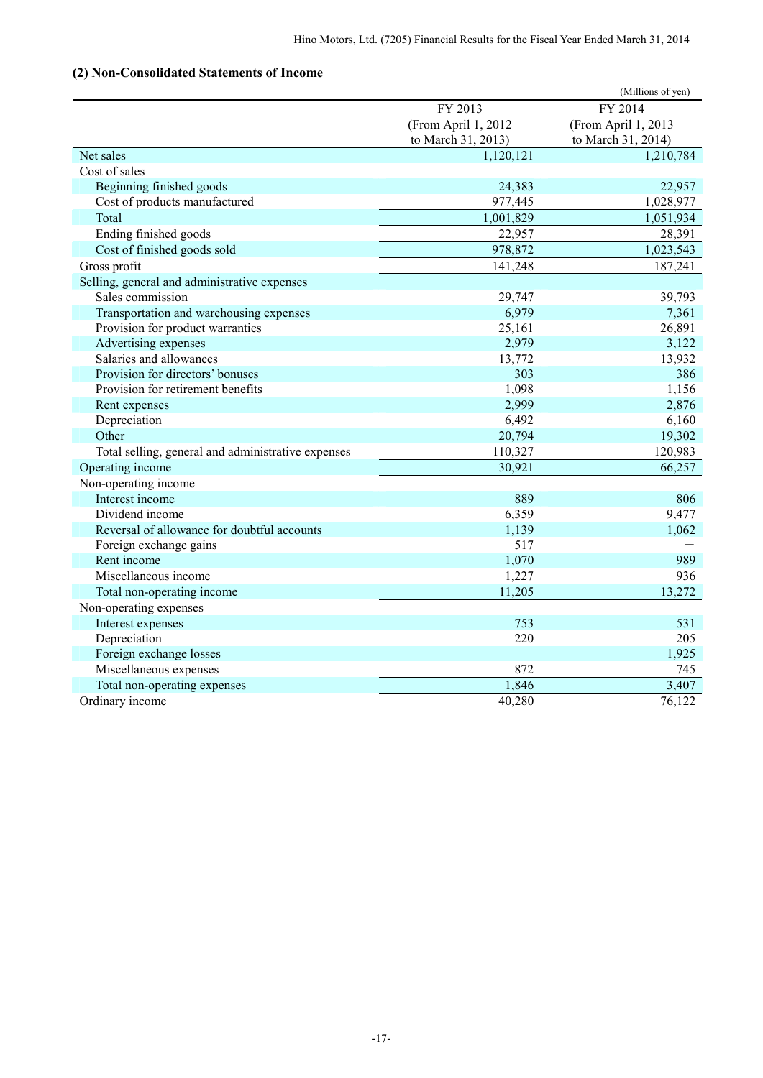# **(2) Non-Consolidated Statements of Income**

|                                                    |                     | (Millions of yen)   |
|----------------------------------------------------|---------------------|---------------------|
|                                                    | FY 2013             | FY 2014             |
|                                                    | (From April 1, 2012 | (From April 1, 2013 |
|                                                    | to March 31, 2013)  | to March 31, 2014)  |
| Net sales                                          | 1,120,121           | 1,210,784           |
| Cost of sales                                      |                     |                     |
| Beginning finished goods                           | 24,383              | 22,957              |
| Cost of products manufactured                      | 977,445             | 1,028,977           |
| Total                                              | 1,001,829           | 1,051,934           |
| Ending finished goods                              | 22,957              | 28,391              |
| Cost of finished goods sold                        | 978,872             | 1,023,543           |
| Gross profit                                       | 141,248             | 187,241             |
| Selling, general and administrative expenses       |                     |                     |
| Sales commission                                   | 29,747              | 39,793              |
| Transportation and warehousing expenses            | 6,979               | 7,361               |
| Provision for product warranties                   | 25,161              | 26,891              |
| Advertising expenses                               | 2,979               | 3,122               |
| Salaries and allowances                            | 13,772              | 13,932              |
| Provision for directors' bonuses                   | 303                 | 386                 |
| Provision for retirement benefits                  | 1,098               | 1,156               |
| Rent expenses                                      | 2,999               | 2,876               |
| Depreciation                                       | 6,492               | 6,160               |
| Other                                              | 20,794              | 19,302              |
| Total selling, general and administrative expenses | 110,327             | 120,983             |
| Operating income                                   | 30,921              | 66,257              |
| Non-operating income                               |                     |                     |
| Interest income                                    | 889                 | 806                 |
| Dividend income                                    | 6,359               | 9,477               |
| Reversal of allowance for doubtful accounts        | 1,139               | 1,062               |
| Foreign exchange gains                             | 517                 |                     |
| Rent income                                        | 1,070               | 989                 |
| Miscellaneous income                               | 1,227               | 936                 |
| Total non-operating income                         | 11,205              | 13,272              |
| Non-operating expenses                             |                     |                     |
| Interest expenses                                  | 753                 | 531                 |
| Depreciation                                       | 220                 | 205                 |
| Foreign exchange losses                            |                     | 1,925               |
| Miscellaneous expenses                             | 872                 | 745                 |
| Total non-operating expenses                       | 1,846               | 3,407               |
| Ordinary income                                    | 40,280              | 76,122              |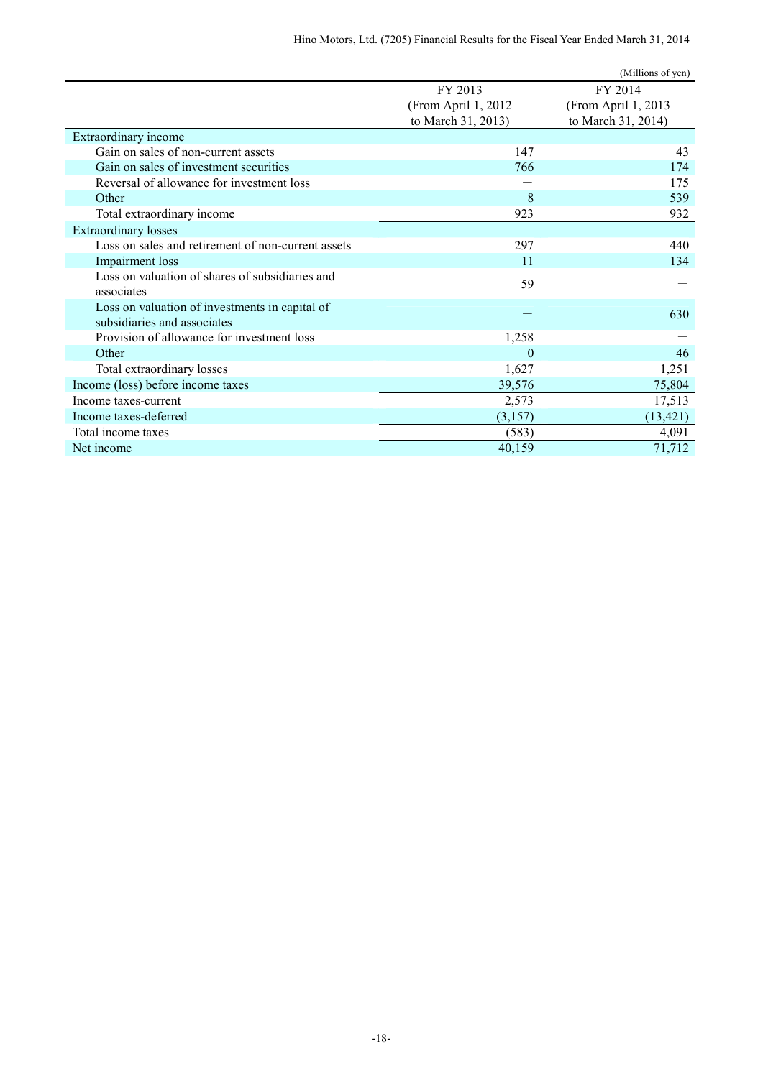|                                                                               |                      | (Millions of yen)   |
|-------------------------------------------------------------------------------|----------------------|---------------------|
|                                                                               | FY 2013              | FY 2014             |
|                                                                               | (From April 1, 2012) | (From April 1, 2013 |
|                                                                               | to March 31, 2013)   | to March 31, 2014)  |
| Extraordinary income                                                          |                      |                     |
| Gain on sales of non-current assets                                           | 147                  | 43                  |
| Gain on sales of investment securities                                        | 766                  | 174                 |
| Reversal of allowance for investment loss                                     |                      | 175                 |
| Other                                                                         | 8                    | 539                 |
| Total extraordinary income                                                    | 923                  | 932                 |
| <b>Extraordinary losses</b>                                                   |                      |                     |
| Loss on sales and retirement of non-current assets                            | 297                  | 440                 |
| Impairment loss                                                               | 11                   | 134                 |
| Loss on valuation of shares of subsidiaries and<br>associates                 | 59                   |                     |
|                                                                               |                      |                     |
| Loss on valuation of investments in capital of<br>subsidiaries and associates |                      | 630                 |
| Provision of allowance for investment loss                                    | 1,258                |                     |
| Other                                                                         | $\overline{0}$       | 46                  |
| Total extraordinary losses                                                    | 1,627                | 1,251               |
| Income (loss) before income taxes                                             | 39,576               | 75,804              |
| Income taxes-current                                                          | 2,573                | 17,513              |
| Income taxes-deferred                                                         | (3, 157)             | (13, 421)           |
| Total income taxes                                                            | (583)                | 4,091               |
| Net income                                                                    | 40,159               | 71,712              |
|                                                                               |                      |                     |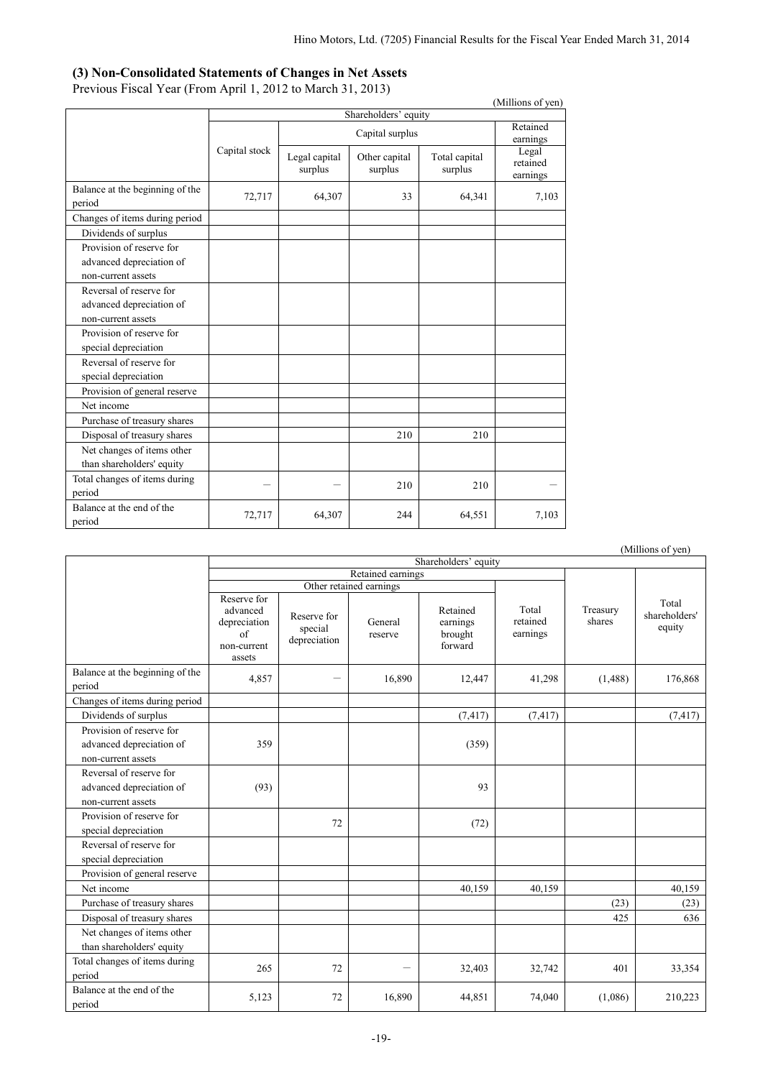### **(3) Non-Consolidated Statements of Changes in Net Assets**

Previous Fiscal Year (From April 1, 2012 to March 31, 2013)

| (Millions of yen)                         |               |                          |                          |                          |                               |  |  |  |
|-------------------------------------------|---------------|--------------------------|--------------------------|--------------------------|-------------------------------|--|--|--|
|                                           |               | Shareholders' equity     |                          |                          |                               |  |  |  |
|                                           |               |                          | Retained<br>earnings     |                          |                               |  |  |  |
|                                           | Capital stock | Legal capital<br>surplus | Other capital<br>surplus | Total capital<br>surplus | Legal<br>retained<br>earnings |  |  |  |
| Balance at the beginning of the<br>period | 72,717        | 64,307                   | 33                       | 64,341                   | 7,103                         |  |  |  |
| Changes of items during period            |               |                          |                          |                          |                               |  |  |  |
| Dividends of surplus                      |               |                          |                          |                          |                               |  |  |  |
| Provision of reserve for                  |               |                          |                          |                          |                               |  |  |  |
| advanced depreciation of                  |               |                          |                          |                          |                               |  |  |  |
| non-current assets                        |               |                          |                          |                          |                               |  |  |  |
| Reversal of reserve for                   |               |                          |                          |                          |                               |  |  |  |
| advanced depreciation of                  |               |                          |                          |                          |                               |  |  |  |
| non-current assets                        |               |                          |                          |                          |                               |  |  |  |
| Provision of reserve for                  |               |                          |                          |                          |                               |  |  |  |
| special depreciation                      |               |                          |                          |                          |                               |  |  |  |
| Reversal of reserve for                   |               |                          |                          |                          |                               |  |  |  |
| special depreciation                      |               |                          |                          |                          |                               |  |  |  |
| Provision of general reserve              |               |                          |                          |                          |                               |  |  |  |
| Net income                                |               |                          |                          |                          |                               |  |  |  |
| Purchase of treasury shares               |               |                          |                          |                          |                               |  |  |  |
| Disposal of treasury shares               |               |                          | 210                      | 210                      |                               |  |  |  |
| Net changes of items other                |               |                          |                          |                          |                               |  |  |  |
| than shareholders' equity                 |               |                          |                          |                          |                               |  |  |  |
| Total changes of items during             |               |                          | 210                      | 210                      |                               |  |  |  |
| period                                    |               |                          |                          |                          |                               |  |  |  |
| Balance at the end of the<br>period       | 72,717        | 64,307                   | 244                      | 64,551                   | 7,103                         |  |  |  |

|                                                                            |                                                                        |                                        |                         |                                            |                               |                    | (Millions of yen)                |  |  |
|----------------------------------------------------------------------------|------------------------------------------------------------------------|----------------------------------------|-------------------------|--------------------------------------------|-------------------------------|--------------------|----------------------------------|--|--|
|                                                                            | Shareholders' equity                                                   |                                        |                         |                                            |                               |                    |                                  |  |  |
|                                                                            |                                                                        |                                        | Retained earnings       |                                            |                               |                    |                                  |  |  |
|                                                                            |                                                                        |                                        | Other retained earnings |                                            |                               |                    |                                  |  |  |
|                                                                            | Reserve for<br>advanced<br>depreciation<br>of<br>non-current<br>assets | Reserve for<br>special<br>depreciation | General<br>reserve      | Retained<br>earnings<br>brought<br>forward | Total<br>retained<br>earnings | Treasury<br>shares | Total<br>shareholders'<br>equity |  |  |
| Balance at the beginning of the<br>period                                  | 4,857                                                                  |                                        | 16,890                  | 12,447                                     | 41,298                        | (1, 488)           | 176,868                          |  |  |
| Changes of items during period                                             |                                                                        |                                        |                         |                                            |                               |                    |                                  |  |  |
| Dividends of surplus                                                       |                                                                        |                                        |                         | (7, 417)                                   | (7, 417)                      |                    | (7, 417)                         |  |  |
| Provision of reserve for<br>advanced depreciation of<br>non-current assets | 359                                                                    |                                        |                         | (359)                                      |                               |                    |                                  |  |  |
| Reversal of reserve for<br>advanced depreciation of<br>non-current assets  | (93)                                                                   |                                        |                         | 93                                         |                               |                    |                                  |  |  |
| Provision of reserve for<br>special depreciation                           |                                                                        | 72                                     |                         | (72)                                       |                               |                    |                                  |  |  |
| Reversal of reserve for<br>special depreciation                            |                                                                        |                                        |                         |                                            |                               |                    |                                  |  |  |
| Provision of general reserve                                               |                                                                        |                                        |                         |                                            |                               |                    |                                  |  |  |
| Net income                                                                 |                                                                        |                                        |                         | 40,159                                     | 40,159                        |                    | 40,159                           |  |  |
| Purchase of treasury shares                                                |                                                                        |                                        |                         |                                            |                               | (23)               | (23)                             |  |  |
| Disposal of treasury shares                                                |                                                                        |                                        |                         |                                            |                               | 425                | 636                              |  |  |
| Net changes of items other<br>than shareholders' equity                    |                                                                        |                                        |                         |                                            |                               |                    |                                  |  |  |
| Total changes of items during<br>period                                    | 265                                                                    | 72                                     |                         | 32,403                                     | 32,742                        | 401                | 33,354                           |  |  |
| Balance at the end of the<br>period                                        | 5,123                                                                  | 72                                     | 16,890                  | 44,851                                     | 74,040                        | (1,086)            | 210,223                          |  |  |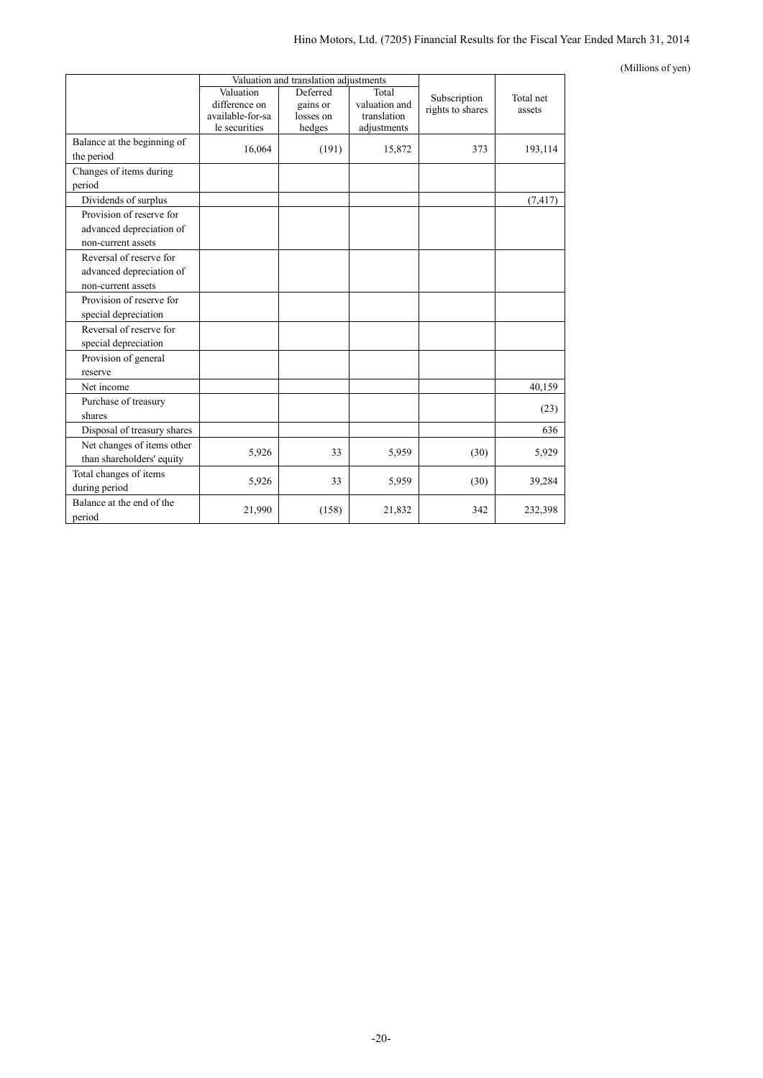#### (Millions of yen)

|                                                                            |                                                                 | Valuation and translation adjustments       |                                                      |                                  |                     |
|----------------------------------------------------------------------------|-----------------------------------------------------------------|---------------------------------------------|------------------------------------------------------|----------------------------------|---------------------|
|                                                                            | Valuation<br>difference on<br>available-for-sa<br>le securities | Deferred<br>gains or<br>losses on<br>hedges | Total<br>valuation and<br>translation<br>adjustments | Subscription<br>rights to shares | Total net<br>assets |
| Balance at the beginning of<br>the period                                  | 16,064                                                          | (191)                                       | 15,872                                               | 373                              | 193,114             |
| Changes of items during<br>period                                          |                                                                 |                                             |                                                      |                                  |                     |
| Dividends of surplus                                                       |                                                                 |                                             |                                                      |                                  | (7, 417)            |
| Provision of reserve for<br>advanced depreciation of<br>non-current assets |                                                                 |                                             |                                                      |                                  |                     |
| Reversal of reserve for<br>advanced depreciation of<br>non-current assets  |                                                                 |                                             |                                                      |                                  |                     |
| Provision of reserve for<br>special depreciation                           |                                                                 |                                             |                                                      |                                  |                     |
| Reversal of reserve for<br>special depreciation                            |                                                                 |                                             |                                                      |                                  |                     |
| Provision of general<br>reserve                                            |                                                                 |                                             |                                                      |                                  |                     |
| Net income                                                                 |                                                                 |                                             |                                                      |                                  | 40,159              |
| Purchase of treasury<br>shares                                             |                                                                 |                                             |                                                      |                                  | (23)                |
| Disposal of treasury shares                                                |                                                                 |                                             |                                                      |                                  | 636                 |
| Net changes of items other<br>than shareholders' equity                    | 5,926                                                           | 33                                          | 5,959                                                | (30)                             | 5,929               |
| Total changes of items<br>during period                                    | 5,926                                                           | 33                                          | 5,959                                                | (30)                             | 39,284              |
| Balance at the end of the<br>period                                        | 21,990                                                          | (158)                                       | 21,832                                               | 342                              | 232,398             |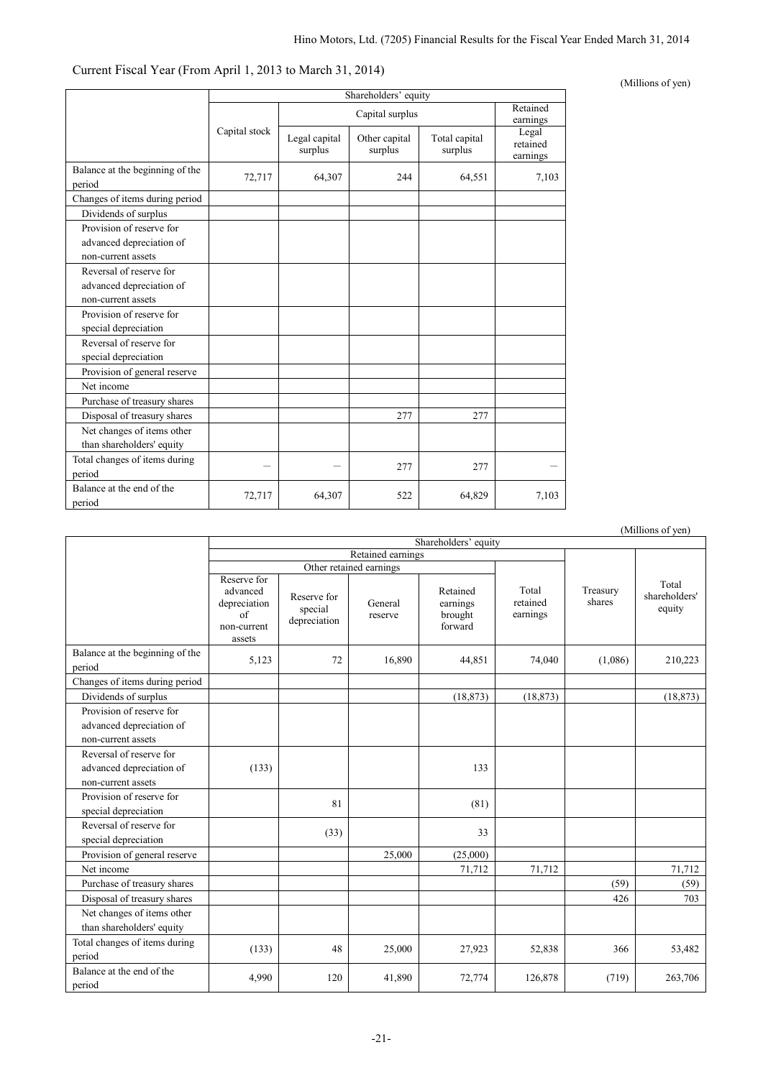| Current Fiscal Year (From April 1, 2013 to March 31, 2014) |  |  |  |
|------------------------------------------------------------|--|--|--|
|------------------------------------------------------------|--|--|--|

|                                                                            | Shareholders' equity |                          |                          |                          |                               |  |  |
|----------------------------------------------------------------------------|----------------------|--------------------------|--------------------------|--------------------------|-------------------------------|--|--|
|                                                                            |                      |                          | Capital surplus          |                          | Retained<br>earnings          |  |  |
|                                                                            | Capital stock        | Legal capital<br>surplus | Other capital<br>surplus | Total capital<br>surplus | Legal<br>retained<br>earnings |  |  |
| Balance at the beginning of the<br>period                                  | 72,717               | 64,307                   | 244                      | 64,551                   | 7,103                         |  |  |
| Changes of items during period                                             |                      |                          |                          |                          |                               |  |  |
| Dividends of surplus                                                       |                      |                          |                          |                          |                               |  |  |
| Provision of reserve for<br>advanced depreciation of<br>non-current assets |                      |                          |                          |                          |                               |  |  |
| Reversal of reserve for<br>advanced depreciation of<br>non-current assets  |                      |                          |                          |                          |                               |  |  |
| Provision of reserve for<br>special depreciation                           |                      |                          |                          |                          |                               |  |  |
| Reversal of reserve for<br>special depreciation                            |                      |                          |                          |                          |                               |  |  |
| Provision of general reserve                                               |                      |                          |                          |                          |                               |  |  |
| Net income                                                                 |                      |                          |                          |                          |                               |  |  |
| Purchase of treasury shares                                                |                      |                          |                          |                          |                               |  |  |
| Disposal of treasury shares                                                |                      |                          | 277                      | 277                      |                               |  |  |
| Net changes of items other<br>than shareholders' equity                    |                      |                          |                          |                          |                               |  |  |
| Total changes of items during<br>period                                    |                      |                          | 277                      | 277                      |                               |  |  |
| Balance at the end of the<br>period                                        | 72,717               | 64,307                   | 522                      | 64,829                   | 7,103                         |  |  |

|                                                 |                                                                                |                                        |                         |                                            |                               |                    | (Millions of yen)                |
|-------------------------------------------------|--------------------------------------------------------------------------------|----------------------------------------|-------------------------|--------------------------------------------|-------------------------------|--------------------|----------------------------------|
|                                                 | Shareholders' equity                                                           |                                        |                         |                                            |                               |                    |                                  |
|                                                 |                                                                                |                                        | Retained earnings       |                                            |                               |                    |                                  |
|                                                 |                                                                                |                                        | Other retained earnings |                                            |                               |                    |                                  |
|                                                 | Reserve for<br>advanced<br>depreciation<br>$\sigma$ f<br>non-current<br>assets | Reserve for<br>special<br>depreciation | General<br>reserve      | Retained<br>earnings<br>brought<br>forward | Total<br>retained<br>earnings | Treasury<br>shares | Total<br>shareholders'<br>equity |
| Balance at the beginning of the                 | 5,123                                                                          | 72                                     | 16,890                  | 44,851                                     | 74,040                        | (1,086)            | 210,223                          |
| period                                          |                                                                                |                                        |                         |                                            |                               |                    |                                  |
| Changes of items during period                  |                                                                                |                                        |                         |                                            |                               |                    |                                  |
| Dividends of surplus                            |                                                                                |                                        |                         | (18, 873)                                  | (18, 873)                     |                    | (18, 873)                        |
| Provision of reserve for                        |                                                                                |                                        |                         |                                            |                               |                    |                                  |
| advanced depreciation of                        |                                                                                |                                        |                         |                                            |                               |                    |                                  |
| non-current assets                              |                                                                                |                                        |                         |                                            |                               |                    |                                  |
| Reversal of reserve for                         |                                                                                |                                        |                         |                                            |                               |                    |                                  |
| advanced depreciation of                        | (133)                                                                          |                                        |                         | 133                                        |                               |                    |                                  |
| non-current assets                              |                                                                                |                                        |                         |                                            |                               |                    |                                  |
| Provision of reserve for                        |                                                                                | 81                                     |                         | (81)                                       |                               |                    |                                  |
| special depreciation                            |                                                                                |                                        |                         |                                            |                               |                    |                                  |
| Reversal of reserve for<br>special depreciation |                                                                                | (33)                                   |                         | 33                                         |                               |                    |                                  |
| Provision of general reserve                    |                                                                                |                                        | 25,000                  | (25,000)                                   |                               |                    |                                  |
| Net income                                      |                                                                                |                                        |                         | 71,712                                     | 71,712                        |                    | 71,712                           |
| Purchase of treasury shares                     |                                                                                |                                        |                         |                                            |                               | (59)               | (59)                             |
| Disposal of treasury shares                     |                                                                                |                                        |                         |                                            |                               | 426                | 703                              |
| Net changes of items other                      |                                                                                |                                        |                         |                                            |                               |                    |                                  |
| than shareholders' equity                       |                                                                                |                                        |                         |                                            |                               |                    |                                  |
| Total changes of items during<br>period         | (133)                                                                          | 48                                     | 25,000                  | 27,923                                     | 52,838                        | 366                | 53,482                           |
| Balance at the end of the<br>period             | 4,990                                                                          | 120                                    | 41,890                  | 72,774                                     | 126,878                       | (719)              | 263,706                          |

(Millions of yen)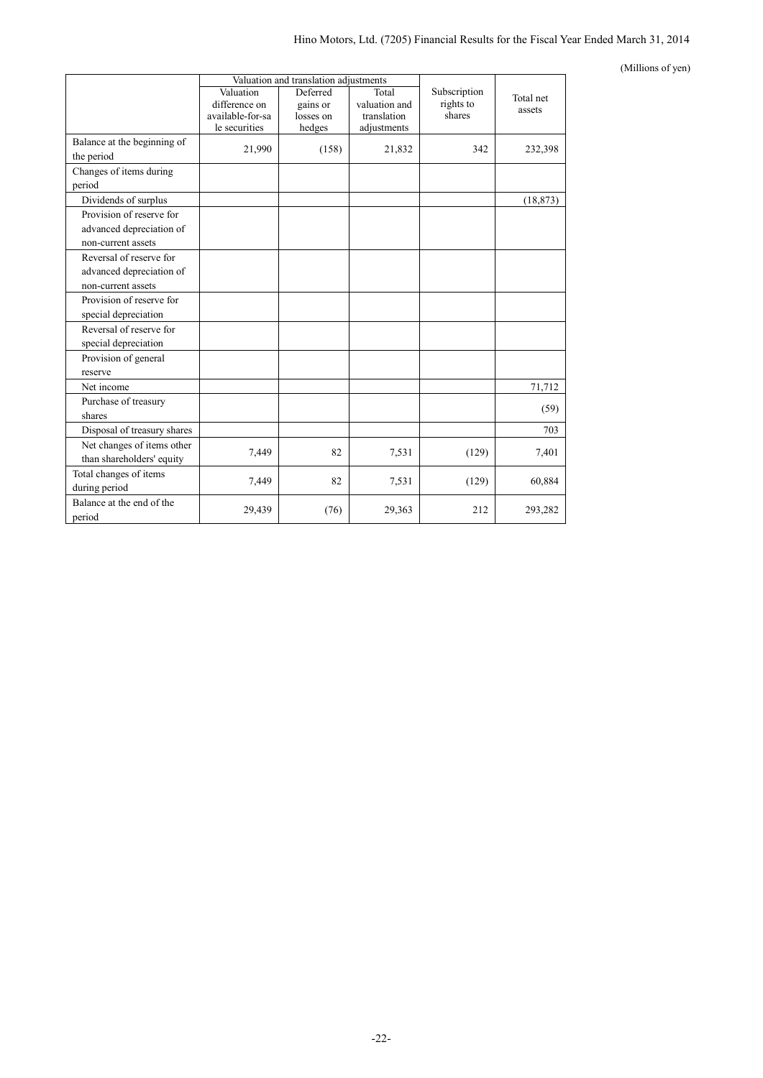#### (Millions of yen)

|                                                                            |                                                                 | Valuation and translation adjustments       |                                                      |                                     |                     |
|----------------------------------------------------------------------------|-----------------------------------------------------------------|---------------------------------------------|------------------------------------------------------|-------------------------------------|---------------------|
|                                                                            | Valuation<br>difference on<br>available-for-sa<br>le securities | Deferred<br>gains or<br>losses on<br>hedges | Total<br>valuation and<br>translation<br>adjustments | Subscription<br>rights to<br>shares | Total net<br>assets |
| Balance at the beginning of<br>the period                                  | 21,990                                                          | (158)                                       | 21,832                                               | 342                                 | 232,398             |
| Changes of items during<br>period                                          |                                                                 |                                             |                                                      |                                     |                     |
| Dividends of surplus                                                       |                                                                 |                                             |                                                      |                                     | (18, 873)           |
| Provision of reserve for<br>advanced depreciation of<br>non-current assets |                                                                 |                                             |                                                      |                                     |                     |
| Reversal of reserve for<br>advanced depreciation of<br>non-current assets  |                                                                 |                                             |                                                      |                                     |                     |
| Provision of reserve for<br>special depreciation                           |                                                                 |                                             |                                                      |                                     |                     |
| Reversal of reserve for<br>special depreciation                            |                                                                 |                                             |                                                      |                                     |                     |
| Provision of general<br>reserve                                            |                                                                 |                                             |                                                      |                                     |                     |
| Net income                                                                 |                                                                 |                                             |                                                      |                                     | 71,712              |
| Purchase of treasury<br>shares                                             |                                                                 |                                             |                                                      |                                     | (59)                |
| Disposal of treasury shares                                                |                                                                 |                                             |                                                      |                                     | 703                 |
| Net changes of items other<br>than shareholders' equity                    | 7,449                                                           | 82                                          | 7,531                                                | (129)                               | 7,401               |
| Total changes of items<br>during period                                    | 7,449                                                           | 82                                          | 7,531                                                | (129)                               | 60,884              |
| Balance at the end of the<br>period                                        | 29,439                                                          | (76)                                        | 29,363                                               | 212                                 | 293,282             |